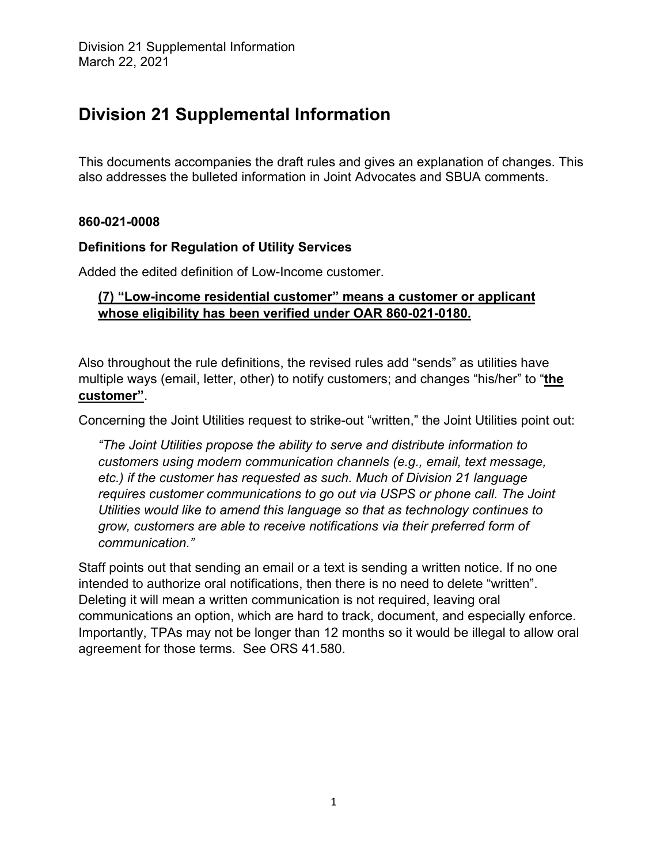# **Division 21 Supplemental Information**

This documents accompanies the draft rules and gives an explanation of changes. This also addresses the bulleted information in Joint Advocates and SBUA comments.

## **860-021-0008**

## **Definitions for Regulation of Utility Services**

Added the edited definition of Low-Income customer.

# **(7) "Low-income residential customer" means a customer or applicant whose eligibility has been verified under OAR 860-021-0180.**

Also throughout the rule definitions, the revised rules add "sends" as utilities have multiple ways (email, letter, other) to notify customers; and changes "his/her" to "**the customer"**.

Concerning the Joint Utilities request to strike-out "written," the Joint Utilities point out:

*"The Joint Utilities propose the ability to serve and distribute information to customers using modern communication channels (e.g., email, text message, etc.) if the customer has requested as such. Much of Division 21 language requires customer communications to go out via USPS or phone call. The Joint Utilities would like to amend this language so that as technology continues to grow, customers are able to receive notifications via their preferred form of communication."* 

Staff points out that sending an email or a text is sending a written notice. If no one intended to authorize oral notifications, then there is no need to delete "written". Deleting it will mean a written communication is not required, leaving oral communications an option, which are hard to track, document, and especially enforce. Importantly, TPAs may not be longer than 12 months so it would be illegal to allow oral agreement for those terms. See ORS 41.580.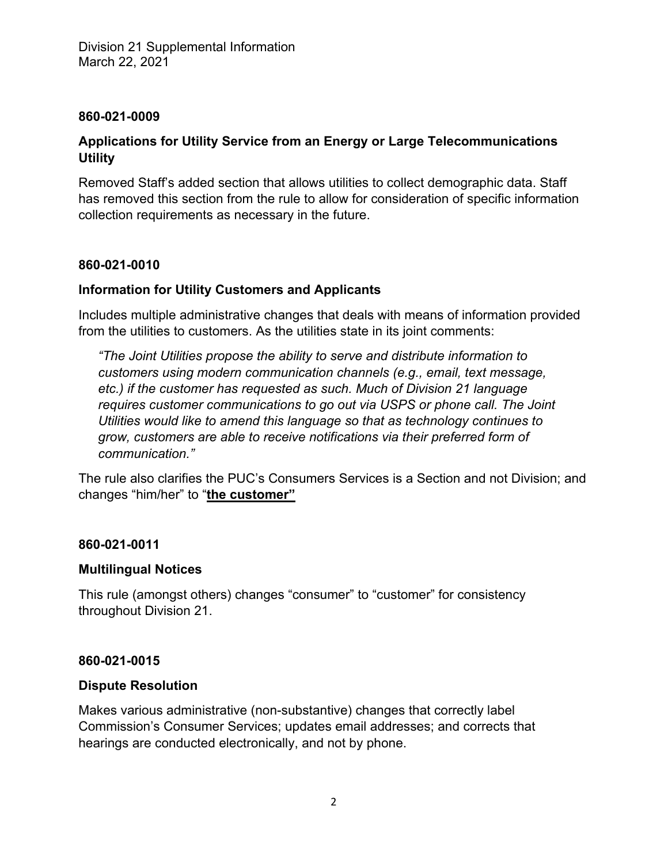### **860-021-0009**

# **Applications for Utility Service from an Energy or Large Telecommunications Utility**

Removed Staff's added section that allows utilities to collect demographic data. Staff has removed this section from the rule to allow for consideration of specific information collection requirements as necessary in the future.

## **860-021-0010**

# **Information for Utility Customers and Applicants**

Includes multiple administrative changes that deals with means of information provided from the utilities to customers. As the utilities state in its joint comments:

*"The Joint Utilities propose the ability to serve and distribute information to customers using modern communication channels (e.g., email, text message, etc.) if the customer has requested as such. Much of Division 21 language requires customer communications to go out via USPS or phone call. The Joint Utilities would like to amend this language so that as technology continues to grow, customers are able to receive notifications via their preferred form of communication."*

The rule also clarifies the PUC's Consumers Services is a Section and not Division; and changes "him/her" to "**the customer"** 

#### **860-021-0011**

#### **Multilingual Notices**

This rule (amongst others) changes "consumer" to "customer" for consistency throughout Division 21.

#### **860-021-0015**

#### **Dispute Resolution**

Makes various administrative (non-substantive) changes that correctly label Commission's Consumer Services; updates email addresses; and corrects that hearings are conducted electronically, and not by phone.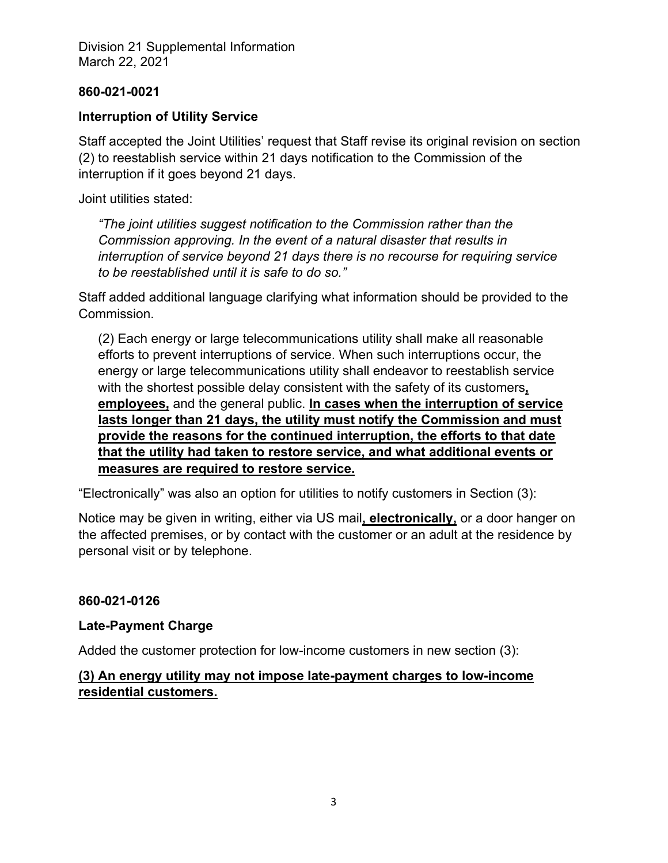### **860-021-0021**

## **Interruption of Utility Service**

Staff accepted the Joint Utilities' request that Staff revise its original revision on section (2) to reestablish service within 21 days notification to the Commission of the interruption if it goes beyond 21 days.

Joint utilities stated:

*"The joint utilities suggest notification to the Commission rather than the Commission approving. In the event of a natural disaster that results in interruption of service beyond 21 days there is no recourse for requiring service to be reestablished until it is safe to do so."*

Staff added additional language clarifying what information should be provided to the Commission.

(2) Each energy or large telecommunications utility shall make all reasonable efforts to prevent interruptions of service. When such interruptions occur, the energy or large telecommunications utility shall endeavor to reestablish service with the shortest possible delay consistent with the safety of its customers**, employees,** and the general public. **In cases when the interruption of service lasts longer than 21 days, the utility must notify the Commission and must provide the reasons for the continued interruption, the efforts to that date that the utility had taken to restore service, and what additional events or measures are required to restore service.** 

"Electronically" was also an option for utilities to notify customers in Section (3):

Notice may be given in writing, either via US mail**, electronically,** or a door hanger on the affected premises, or by contact with the customer or an adult at the residence by personal visit or by telephone.

#### **860-021-0126**

#### **Late-Payment Charge**

Added the customer protection for low-income customers in new section (3):

# **(3) An energy utility may not impose late-payment charges to low-income residential customers.**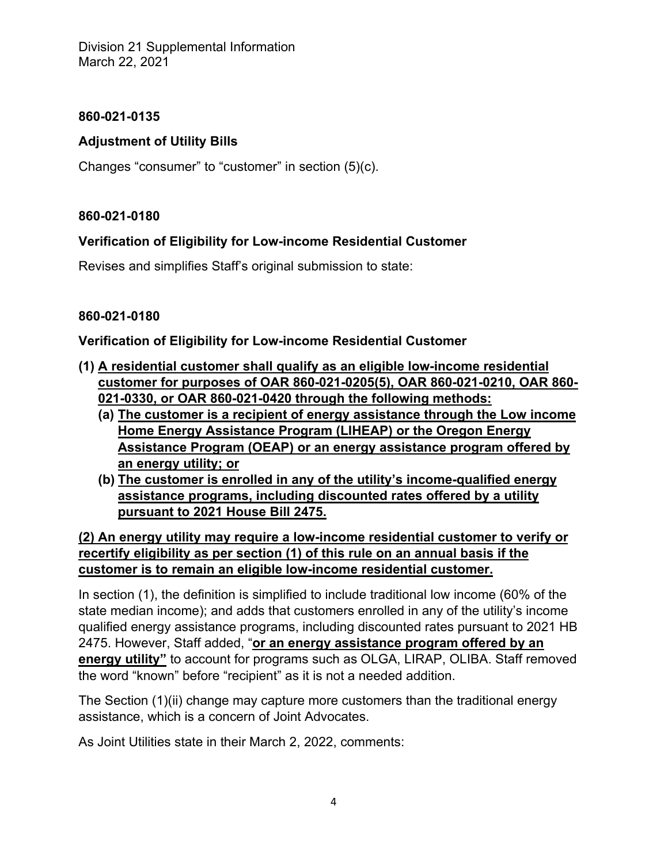# **860-021-0135**

# **Adjustment of Utility Bills**

Changes "consumer" to "customer" in section (5)(c).

# **860-021-0180**

# **Verification of Eligibility for Low-income Residential Customer**

Revises and simplifies Staff's original submission to state:

# **860-021-0180**

# **Verification of Eligibility for Low-income Residential Customer**

- **(1) A residential customer shall qualify as an eligible low-income residential customer for purposes of OAR 860-021-0205(5), OAR 860-021-0210, OAR 860- 021-0330, or OAR 860-021-0420 through the following methods:** 
	- **(a) The customer is a recipient of energy assistance through the Low income Home Energy Assistance Program (LIHEAP) or the Oregon Energy Assistance Program (OEAP) or an energy assistance program offered by an energy utility; or**
	- **(b) The customer is enrolled in any of the utility's income-qualified energy assistance programs, including discounted rates offered by a utility pursuant to 2021 House Bill 2475.**

**(2) An energy utility may require a low-income residential customer to verify or recertify eligibility as per section (1) of this rule on an annual basis if the customer is to remain an eligible low-income residential customer.** 

In section (1), the definition is simplified to include traditional low income (60% of the state median income); and adds that customers enrolled in any of the utility's income qualified energy assistance programs, including discounted rates pursuant to 2021 HB 2475. However, Staff added, "**or an energy assistance program offered by an energy utility"** to account for programs such as OLGA, LIRAP, OLIBA. Staff removed the word "known" before "recipient" as it is not a needed addition.

The Section (1)(ii) change may capture more customers than the traditional energy assistance, which is a concern of Joint Advocates.

As Joint Utilities state in their March 2, 2022, comments: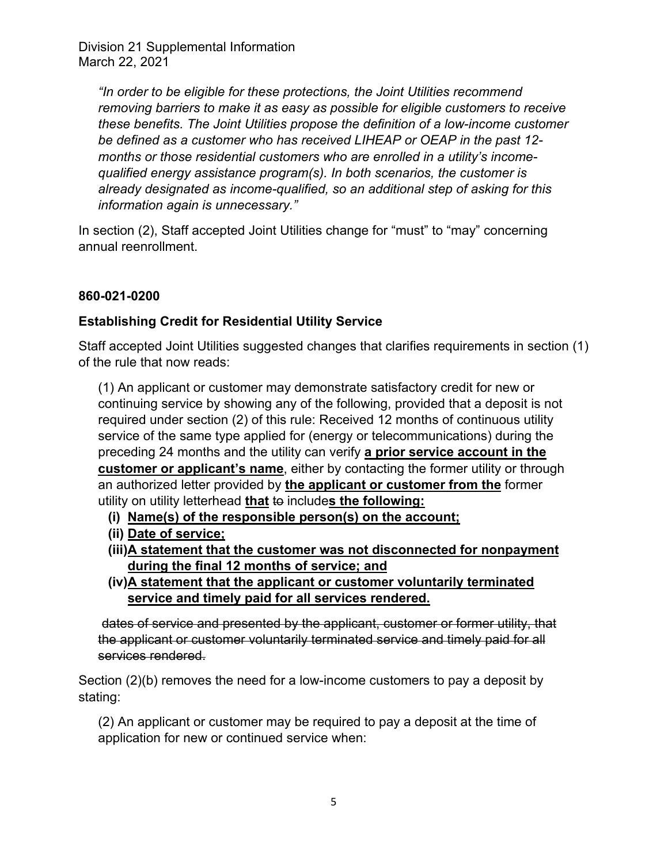*"In order to be eligible for these protections, the Joint Utilities recommend removing barriers to make it as easy as possible for eligible customers to receive these benefits. The Joint Utilities propose the definition of a low-income customer be defined as a customer who has received LIHEAP or OEAP in the past 12 months or those residential customers who are enrolled in a utility's incomequalified energy assistance program(s). In both scenarios, the customer is already designated as income-qualified, so an additional step of asking for this information again is unnecessary."* 

In section (2), Staff accepted Joint Utilities change for "must" to "may" concerning annual reenrollment.

# **860-021-0200**

# **Establishing Credit for Residential Utility Service**

Staff accepted Joint Utilities suggested changes that clarifies requirements in section (1) of the rule that now reads:

(1) An applicant or customer may demonstrate satisfactory credit for new or continuing service by showing any of the following, provided that a deposit is not required under section (2) of this rule: Received 12 months of continuous utility service of the same type applied for (energy or telecommunications) during the preceding 24 months and the utility can verify **a prior service account in the customer or applicant's name**, either by contacting the former utility or through an authorized letter provided by **the applicant or customer from the** former utility on utility letterhead **that** to include**s the following:**

- **(i) Name(s) of the responsible person(s) on the account;**
- **(ii) Date of service;**
- **(iii)A statement that the customer was not disconnected for nonpayment during the final 12 months of service; and**
- **(iv)A statement that the applicant or customer voluntarily terminated service and timely paid for all services rendered.**

 dates of service and presented by the applicant, customer or former utility, that the applicant or customer voluntarily terminated service and timely paid for all services rendered.

Section (2)(b) removes the need for a low-income customers to pay a deposit by stating:

(2) An applicant or customer may be required to pay a deposit at the time of application for new or continued service when: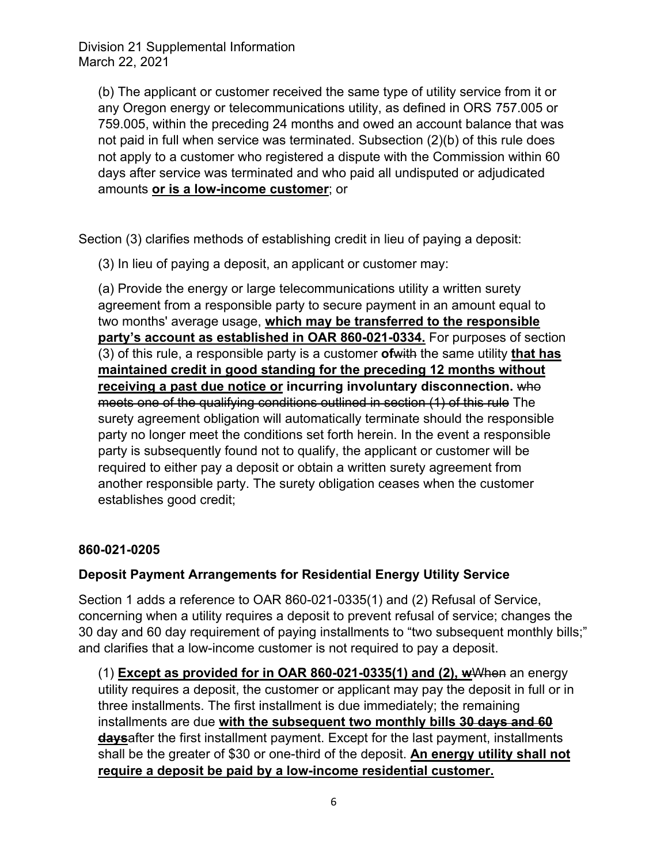(b) The applicant or customer received the same type of utility service from it or any Oregon energy or telecommunications utility, as defined in ORS 757.005 or 759.005, within the preceding 24 months and owed an account balance that was not paid in full when service was terminated. Subsection (2)(b) of this rule does not apply to a customer who registered a dispute with the Commission within 60 days after service was terminated and who paid all undisputed or adjudicated amounts **or is a low-income customer**; or

Section (3) clarifies methods of establishing credit in lieu of paying a deposit:

(3) In lieu of paying a deposit, an applicant or customer may:

(a) Provide the energy or large telecommunications utility a written surety agreement from a responsible party to secure payment in an amount equal to two months' average usage, **which may be transferred to the responsible party's account as established in OAR 860-021-0334.** For purposes of section (3) of this rule, a responsible party is a customer **of**with the same utility **that has maintained credit in good standing for the preceding 12 months without receiving a past due notice or incurring involuntary disconnection.** who meets one of the qualifying conditions outlined in section (1) of this rule The surety agreement obligation will automatically terminate should the responsible party no longer meet the conditions set forth herein. In the event a responsible party is subsequently found not to qualify, the applicant or customer will be required to either pay a deposit or obtain a written surety agreement from another responsible party. The surety obligation ceases when the customer establishes good credit;

# **860-021-0205**

# **Deposit Payment Arrangements for Residential Energy Utility Service**

Section 1 adds a reference to OAR 860-021-0335(1) and (2) Refusal of Service, concerning when a utility requires a deposit to prevent refusal of service; changes the 30 day and 60 day requirement of paying installments to "two subsequent monthly bills;" and clarifies that a low-income customer is not required to pay a deposit.

(1) **Except as provided for in OAR 860-021-0335(1) and (2), w**When an energy utility requires a deposit, the customer or applicant may pay the deposit in full or in three installments. The first installment is due immediately; the remaining installments are due **with the subsequent two monthly bills 30 days and 60 days**after the first installment payment. Except for the last payment, installments shall be the greater of \$30 or one-third of the deposit. **An energy utility shall not require a deposit be paid by a low-income residential customer.**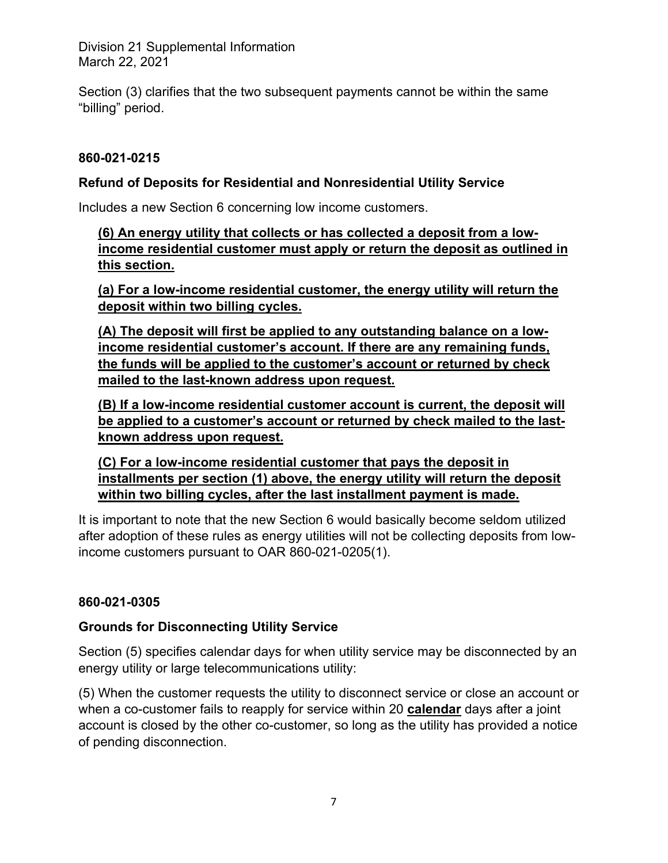Section (3) clarifies that the two subsequent payments cannot be within the same "billing" period.

# **860-021-0215**

## **Refund of Deposits for Residential and Nonresidential Utility Service**

Includes a new Section 6 concerning low income customers.

**(6) An energy utility that collects or has collected a deposit from a lowincome residential customer must apply or return the deposit as outlined in this section.** 

**(a) For a low-income residential customer, the energy utility will return the deposit within two billing cycles.** 

**(A) The deposit will first be applied to any outstanding balance on a lowincome residential customer's account. If there are any remaining funds, the funds will be applied to the customer's account or returned by check mailed to the last-known address upon request.** 

**(B) If a low-income residential customer account is current, the deposit will be applied to a customer's account or returned by check mailed to the lastknown address upon request.** 

**(C) For a low-income residential customer that pays the deposit in installments per section (1) above, the energy utility will return the deposit within two billing cycles, after the last installment payment is made.**

It is important to note that the new Section 6 would basically become seldom utilized after adoption of these rules as energy utilities will not be collecting deposits from lowincome customers pursuant to OAR 860-021-0205(1).

# **860-021-0305**

#### **Grounds for Disconnecting Utility Service**

Section (5) specifies calendar days for when utility service may be disconnected by an energy utility or large telecommunications utility:

(5) When the customer requests the utility to disconnect service or close an account or when a co-customer fails to reapply for service within 20 **calendar** days after a joint account is closed by the other co-customer, so long as the utility has provided a notice of pending disconnection.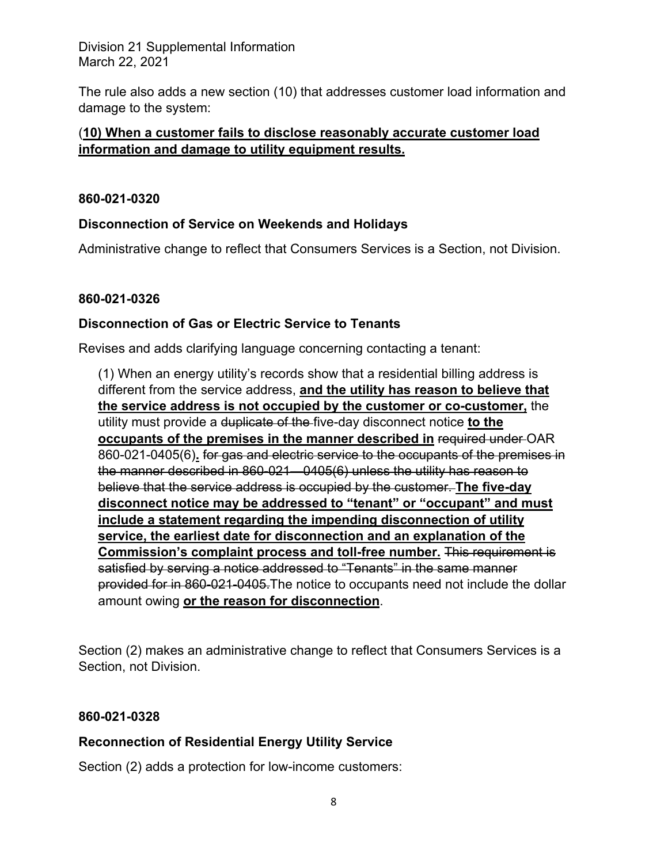The rule also adds a new section (10) that addresses customer load information and damage to the system:

# (**10) When a customer fails to disclose reasonably accurate customer load information and damage to utility equipment results.**

### **860-021-0320**

# **Disconnection of Service on Weekends and Holidays**

Administrative change to reflect that Consumers Services is a Section, not Division.

## **860-021-0326**

## **Disconnection of Gas or Electric Service to Tenants**

Revises and adds clarifying language concerning contacting a tenant:

(1) When an energy utility's records show that a residential billing address is different from the service address, **and the utility has reason to believe that the service address is not occupied by the customer or co-customer,** the utility must provide a duplicate of the five-day disconnect notice **to the occupants of the premises in the manner described in** required under OAR 860-021-0405(6)**.** for gas and electric service to the occupants of the premises in the manner described in 860-021—0405(6) unless the utility has reason to believe that the service address is occupied by the customer. **The five-day disconnect notice may be addressed to "tenant" or "occupant" and must include a statement regarding the impending disconnection of utility service, the earliest date for disconnection and an explanation of the Commission's complaint process and toll-free number.** This requirement is satisfied by serving a notice addressed to "Tenants" in the same manner provided for in 860-021-0405.The notice to occupants need not include the dollar amount owing **or the reason for disconnection**.

Section (2) makes an administrative change to reflect that Consumers Services is a Section, not Division.

#### **860-021-0328**

# **Reconnection of Residential Energy Utility Service**

Section (2) adds a protection for low-income customers: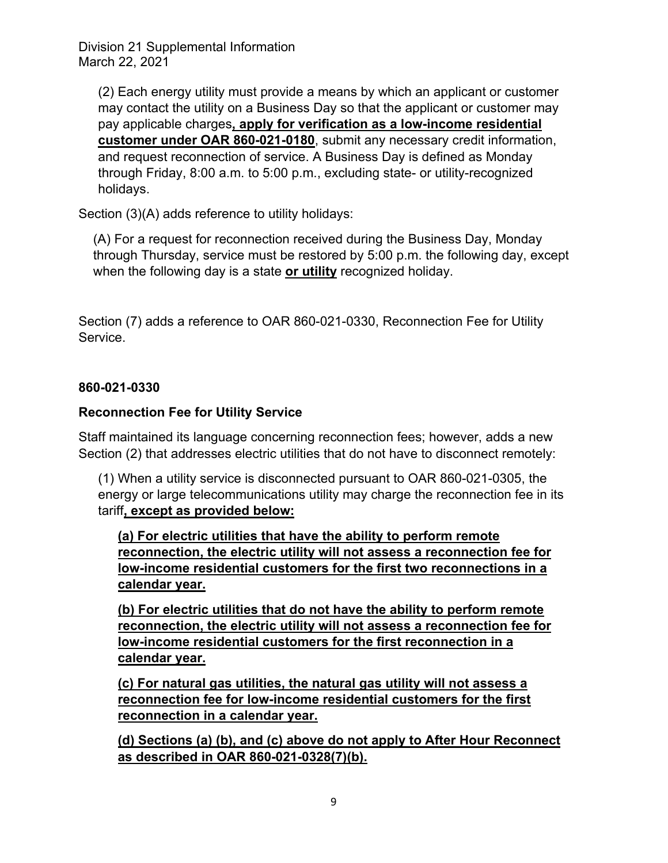(2) Each energy utility must provide a means by which an applicant or customer may contact the utility on a Business Day so that the applicant or customer may pay applicable charges**, apply for verification as a low-income residential customer under OAR 860-021-0180**, submit any necessary credit information, and request reconnection of service. A Business Day is defined as Monday through Friday, 8:00 a.m. to 5:00 p.m., excluding state- or utility-recognized holidays.

Section (3)(A) adds reference to utility holidays:

(A) For a request for reconnection received during the Business Day, Monday through Thursday, service must be restored by 5:00 p.m. the following day, except when the following day is a state **or utility** recognized holiday.

Section (7) adds a reference to OAR 860-021-0330, Reconnection Fee for Utility Service.

## **860-021-0330**

## **Reconnection Fee for Utility Service**

Staff maintained its language concerning reconnection fees; however, adds a new Section (2) that addresses electric utilities that do not have to disconnect remotely:

(1) When a utility service is disconnected pursuant to OAR 860-021-0305, the energy or large telecommunications utility may charge the reconnection fee in its tariff**, except as provided below:** 

**(a) For electric utilities that have the ability to perform remote reconnection, the electric utility will not assess a reconnection fee for low-income residential customers for the first two reconnections in a calendar year.** 

**(b) For electric utilities that do not have the ability to perform remote reconnection, the electric utility will not assess a reconnection fee for low-income residential customers for the first reconnection in a calendar year.** 

**(c) For natural gas utilities, the natural gas utility will not assess a reconnection fee for low-income residential customers for the first reconnection in a calendar year.** 

**(d) Sections (a) (b), and (c) above do not apply to After Hour Reconnect as described in OAR 860-021-0328(7)(b).**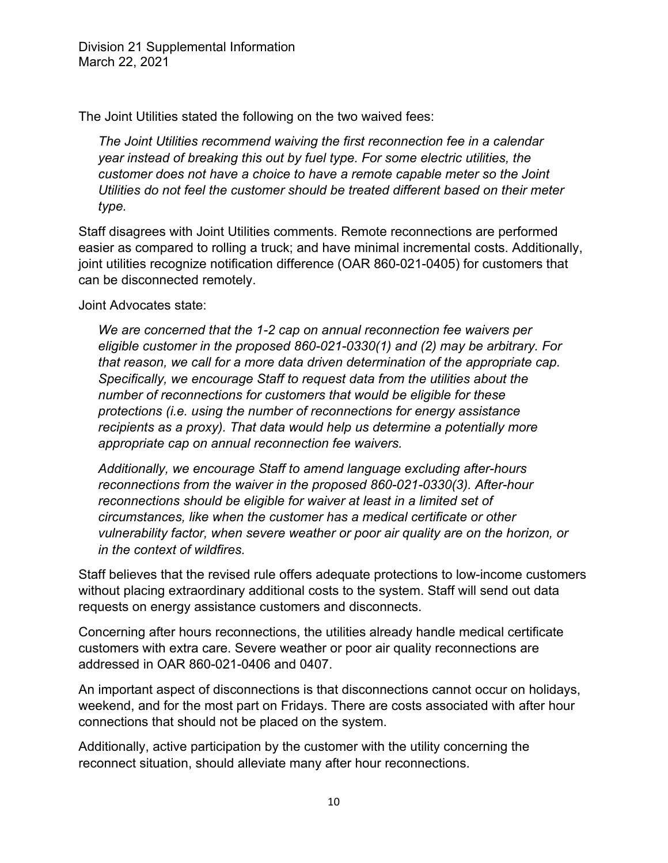The Joint Utilities stated the following on the two waived fees:

*The Joint Utilities recommend waiving the first reconnection fee in a calendar year instead of breaking this out by fuel type. For some electric utilities, the customer does not have a choice to have a remote capable meter so the Joint Utilities do not feel the customer should be treated different based on their meter type.* 

Staff disagrees with Joint Utilities comments. Remote reconnections are performed easier as compared to rolling a truck; and have minimal incremental costs. Additionally, joint utilities recognize notification difference (OAR 860-021-0405) for customers that can be disconnected remotely.

Joint Advocates state:

*We are concerned that the 1-2 cap on annual reconnection fee waivers per eligible customer in the proposed 860-021-0330(1) and (2) may be arbitrary. For that reason, we call for a more data driven determination of the appropriate cap. Specifically, we encourage Staff to request data from the utilities about the number of reconnections for customers that would be eligible for these protections (i.e. using the number of reconnections for energy assistance recipients as a proxy). That data would help us determine a potentially more appropriate cap on annual reconnection fee waivers.* 

*Additionally, we encourage Staff to amend language excluding after-hours reconnections from the waiver in the proposed 860-021-0330(3). After-hour reconnections should be eligible for waiver at least in a limited set of circumstances, like when the customer has a medical certificate or other vulnerability factor, when severe weather or poor air quality are on the horizon, or in the context of wildfires.* 

Staff believes that the revised rule offers adequate protections to low-income customers without placing extraordinary additional costs to the system. Staff will send out data requests on energy assistance customers and disconnects.

Concerning after hours reconnections, the utilities already handle medical certificate customers with extra care. Severe weather or poor air quality reconnections are addressed in OAR 860-021-0406 and 0407.

An important aspect of disconnections is that disconnections cannot occur on holidays, weekend, and for the most part on Fridays. There are costs associated with after hour connections that should not be placed on the system.

Additionally, active participation by the customer with the utility concerning the reconnect situation, should alleviate many after hour reconnections.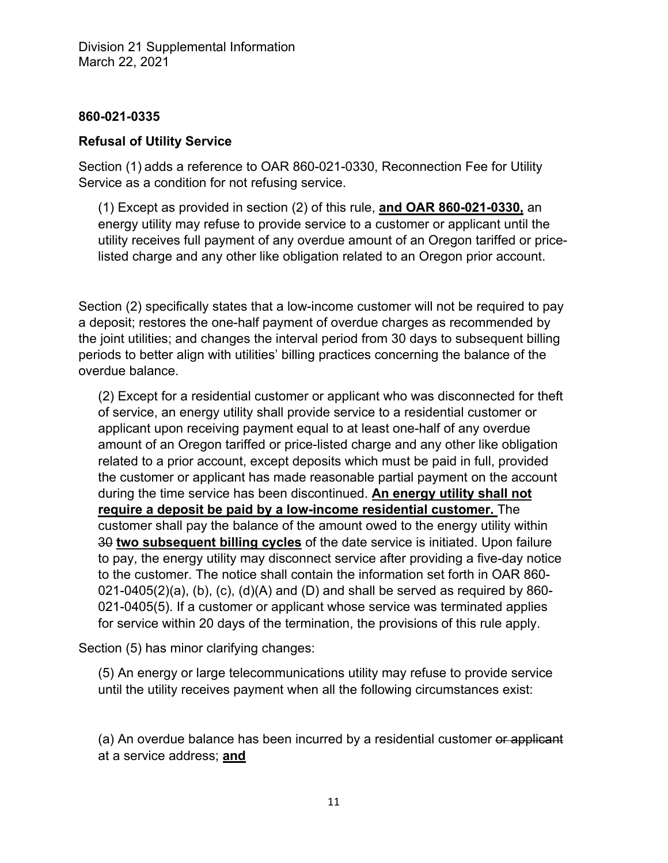### **860-021-0335**

## **Refusal of Utility Service**

Section (1) adds a reference to OAR 860-021-0330, Reconnection Fee for Utility Service as a condition for not refusing service.

(1) Except as provided in section (2) of this rule, **and OAR 860-021-0330,** an energy utility may refuse to provide service to a customer or applicant until the utility receives full payment of any overdue amount of an Oregon tariffed or pricelisted charge and any other like obligation related to an Oregon prior account.

Section (2) specifically states that a low-income customer will not be required to pay a deposit; restores the one-half payment of overdue charges as recommended by the joint utilities; and changes the interval period from 30 days to subsequent billing periods to better align with utilities' billing practices concerning the balance of the overdue balance.

(2) Except for a residential customer or applicant who was disconnected for theft of service, an energy utility shall provide service to a residential customer or applicant upon receiving payment equal to at least one-half of any overdue amount of an Oregon tariffed or price-listed charge and any other like obligation related to a prior account, except deposits which must be paid in full, provided the customer or applicant has made reasonable partial payment on the account during the time service has been discontinued. **An energy utility shall not require a deposit be paid by a low-income residential customer.** The customer shall pay the balance of the amount owed to the energy utility within 30 **two subsequent billing cycles** of the date service is initiated. Upon failure to pay, the energy utility may disconnect service after providing a five-day notice to the customer. The notice shall contain the information set forth in OAR 860-  $021-0405(2)(a)$ , (b), (c), (d)(A) and (D) and shall be served as required by 860-021-0405(5). If a customer or applicant whose service was terminated applies for service within 20 days of the termination, the provisions of this rule apply.

Section (5) has minor clarifying changes:

(5) An energy or large telecommunications utility may refuse to provide service until the utility receives payment when all the following circumstances exist:

(a) An overdue balance has been incurred by a residential customer or applicant at a service address; **and**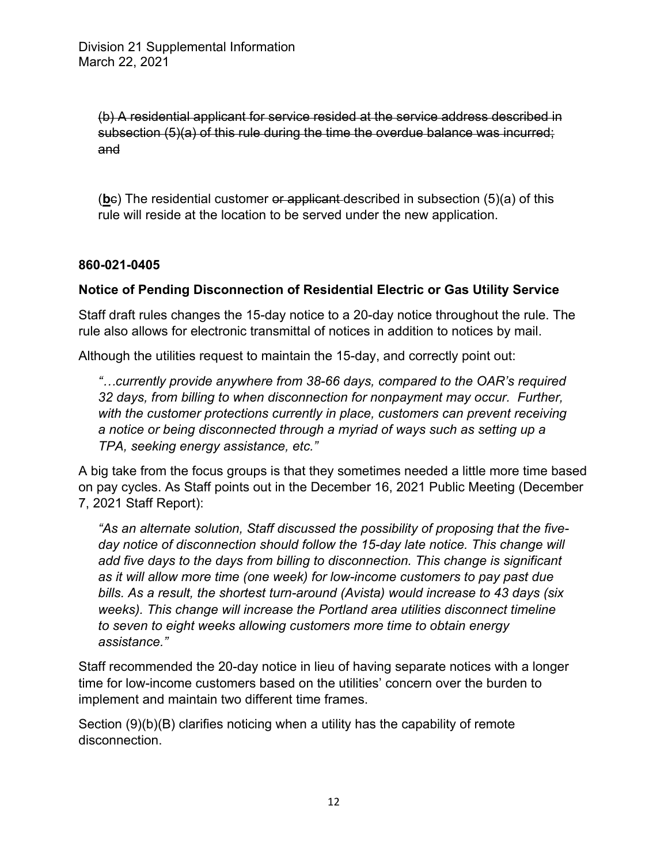(b) A residential applicant for service resided at the service address described in subsection (5)(a) of this rule during the time the overdue balance was incurred; and

(**b**c) The residential customer or applicant described in subsection (5)(a) of this rule will reside at the location to be served under the new application.

## **860-021-0405**

# **Notice of Pending Disconnection of Residential Electric or Gas Utility Service**

Staff draft rules changes the 15-day notice to a 20-day notice throughout the rule. The rule also allows for electronic transmittal of notices in addition to notices by mail.

Although the utilities request to maintain the 15-day, and correctly point out:

*"…currently provide anywhere from 38-66 days, compared to the OAR's required 32 days, from billing to when disconnection for nonpayment may occur. Further,*  with the customer protections currently in place, customers can prevent receiving *a notice or being disconnected through a myriad of ways such as setting up a TPA, seeking energy assistance, etc."* 

A big take from the focus groups is that they sometimes needed a little more time based on pay cycles. As Staff points out in the December 16, 2021 Public Meeting (December 7, 2021 Staff Report):

*"As an alternate solution, Staff discussed the possibility of proposing that the five*day notice of disconnection should follow the 15-day late notice. This change will *add five days to the days from billing to disconnection. This change is significant as it will allow more time (one week) for low-income customers to pay past due bills. As a result, the shortest turn-around (Avista) would increase to 43 days (six weeks). This change will increase the Portland area utilities disconnect timeline to seven to eight weeks allowing customers more time to obtain energy assistance."* 

Staff recommended the 20-day notice in lieu of having separate notices with a longer time for low-income customers based on the utilities' concern over the burden to implement and maintain two different time frames.

Section (9)(b)(B) clarifies noticing when a utility has the capability of remote disconnection.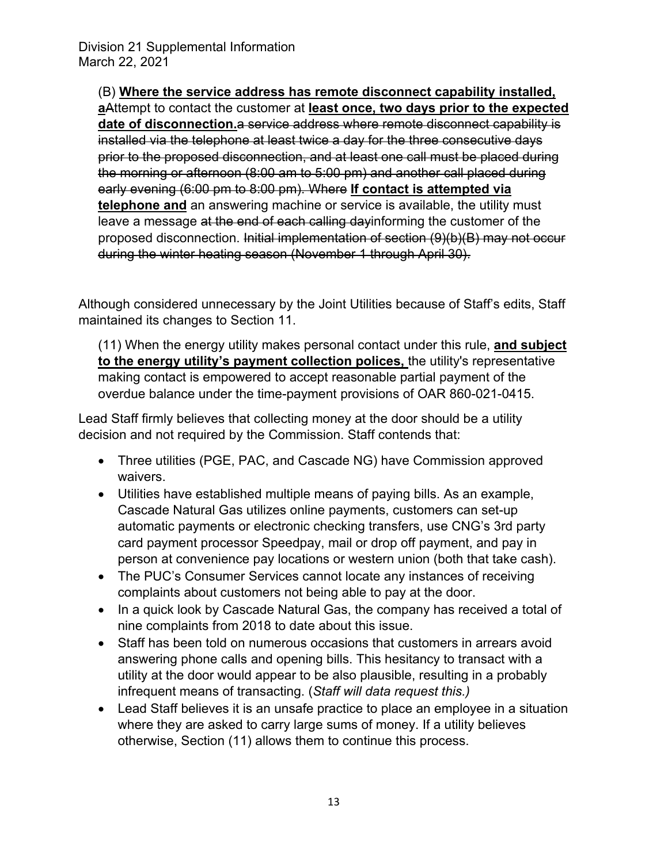(B) **Where the service address has remote disconnect capability installed, a**Attempt to contact the customer at **least once, two days prior to the expected date of disconnection.**a service address where remote disconnect capability is installed via the telephone at least twice a day for the three consecutive days prior to the proposed disconnection, and at least one call must be placed during the morning or afternoon (8:00 am to 5:00 pm) and another call placed during early evening (6:00 pm to 8:00 pm). Where **If contact is attempted via telephone and** an answering machine or service is available, the utility must leave a message at the end of each calling dayinforming the customer of the proposed disconnection. Initial implementation of section (9)(b)(B) may not occur during the winter heating season (November 1 through April 30).

Although considered unnecessary by the Joint Utilities because of Staff's edits, Staff maintained its changes to Section 11.

(11) When the energy utility makes personal contact under this rule, **and subject to the energy utility's payment collection polices,** the utility's representative making contact is empowered to accept reasonable partial payment of the overdue balance under the time-payment provisions of OAR 860-021-0415.

Lead Staff firmly believes that collecting money at the door should be a utility decision and not required by the Commission. Staff contends that:

- Three utilities (PGE, PAC, and Cascade NG) have Commission approved waivers.
- Utilities have established multiple means of paying bills. As an example, Cascade Natural Gas utilizes online payments, customers can set-up automatic payments or electronic checking transfers, use CNG's 3rd party card payment processor Speedpay, mail or drop off payment, and pay in person at convenience pay locations or western union (both that take cash).
- The PUC's Consumer Services cannot locate any instances of receiving complaints about customers not being able to pay at the door.
- In a quick look by Cascade Natural Gas, the company has received a total of nine complaints from 2018 to date about this issue.
- Staff has been told on numerous occasions that customers in arrears avoid answering phone calls and opening bills. This hesitancy to transact with a utility at the door would appear to be also plausible, resulting in a probably infrequent means of transacting. (*Staff will data request this.)*
- Lead Staff believes it is an unsafe practice to place an employee in a situation where they are asked to carry large sums of money. If a utility believes otherwise, Section (11) allows them to continue this process.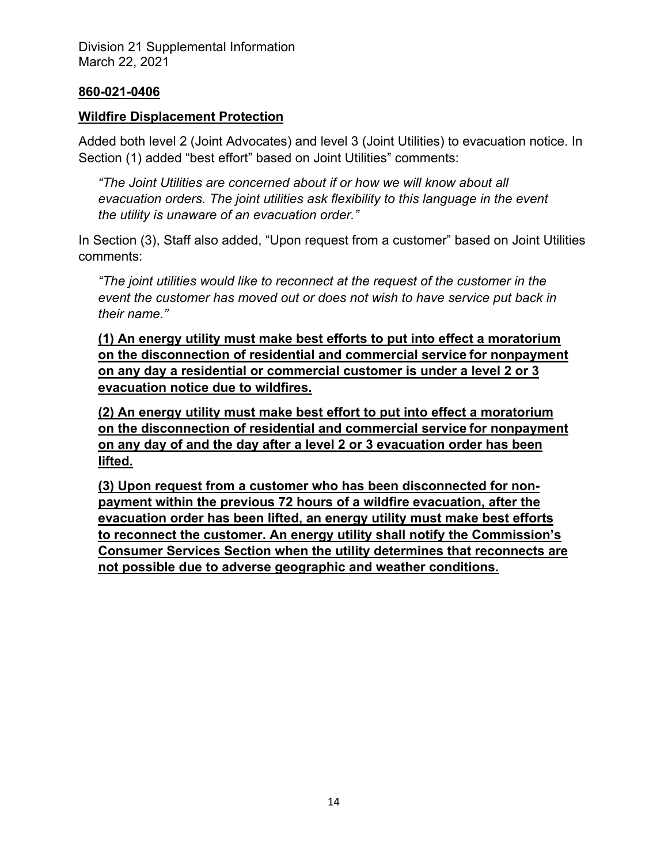#### **860-021-0406**

## **Wildfire Displacement Protection**

Added both level 2 (Joint Advocates) and level 3 (Joint Utilities) to evacuation notice. In Section (1) added "best effort" based on Joint Utilities" comments:

*"The Joint Utilities are concerned about if or how we will know about all evacuation orders. The joint utilities ask flexibility to this language in the event the utility is unaware of an evacuation order."* 

In Section (3), Staff also added, "Upon request from a customer" based on Joint Utilities comments:

*"The joint utilities would like to reconnect at the request of the customer in the event the customer has moved out or does not wish to have service put back in their name."* 

**(1) An energy utility must make best efforts to put into effect a moratorium on the disconnection of residential and commercial service for nonpayment on any day a residential or commercial customer is under a level 2 or 3 evacuation notice due to wildfires.** 

**(2) An energy utility must make best effort to put into effect a moratorium on the disconnection of residential and commercial service for nonpayment on any day of and the day after a level 2 or 3 evacuation order has been lifted.** 

**(3) Upon request from a customer who has been disconnected for nonpayment within the previous 72 hours of a wildfire evacuation, after the evacuation order has been lifted, an energy utility must make best efforts to reconnect the customer. An energy utility shall notify the Commission's Consumer Services Section when the utility determines that reconnects are not possible due to adverse geographic and weather conditions.**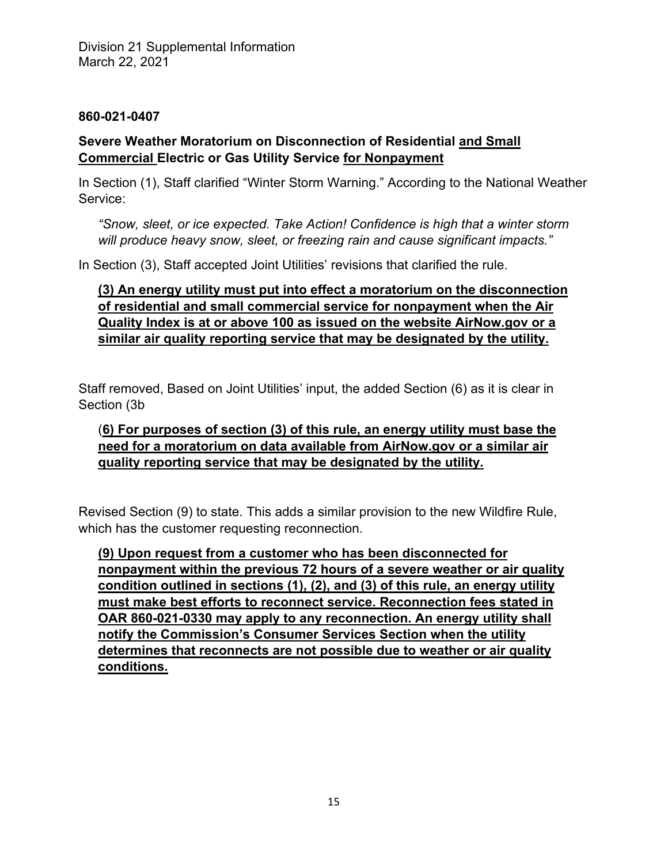## **860-021-0407**

# **Severe Weather Moratorium on Disconnection of Residential and Small Commercial Electric or Gas Utility Service for Nonpayment**

In Section (1), Staff clarified "Winter Storm Warning." According to the National Weather Service:

*"Snow, sleet, or ice expected. Take Action! Confidence is high that a winter storm will produce heavy snow, sleet, or freezing rain and cause significant impacts."* 

In Section (3), Staff accepted Joint Utilities' revisions that clarified the rule.

**(3) An energy utility must put into effect a moratorium on the disconnection of residential and small commercial service for nonpayment when the Air Quality Index is at or above 100 as issued on the website AirNow.gov or a similar air quality reporting service that may be designated by the utility.** 

Staff removed, Based on Joint Utilities' input, the added Section (6) as it is clear in Section (3b

# (**6) For purposes of section (3) of this rule, an energy utility must base the need for a moratorium on data available from AirNow.gov or a similar air quality reporting service that may be designated by the utility.**

Revised Section (9) to state. This adds a similar provision to the new Wildfire Rule, which has the customer requesting reconnection.

**(9) Upon request from a customer who has been disconnected for nonpayment within the previous 72 hours of a severe weather or air quality condition outlined in sections (1), (2), and (3) of this rule, an energy utility must make best efforts to reconnect service. Reconnection fees stated in OAR 860-021-0330 may apply to any reconnection. An energy utility shall notify the Commission's Consumer Services Section when the utility determines that reconnects are not possible due to weather or air quality conditions.**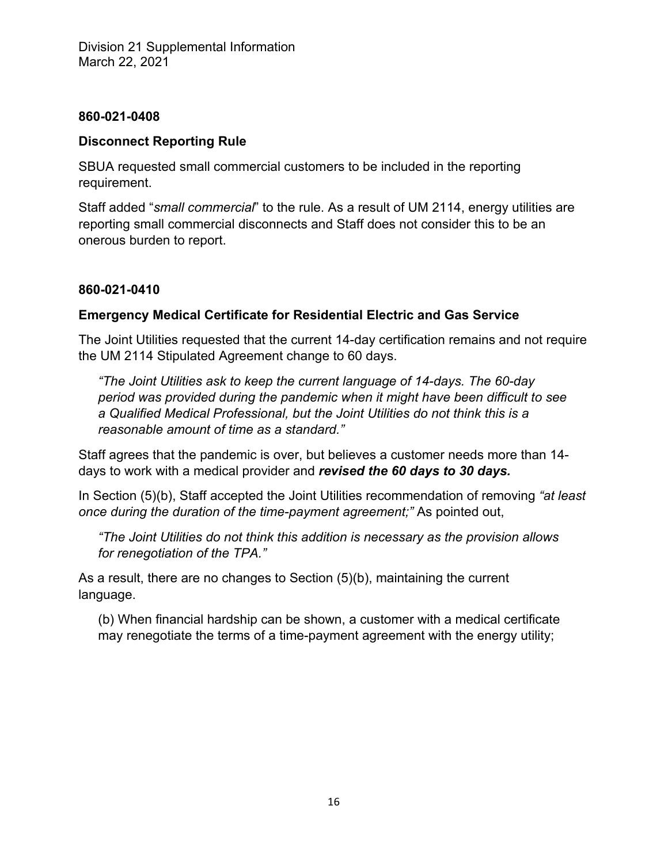#### **860-021-0408**

## **Disconnect Reporting Rule**

SBUA requested small commercial customers to be included in the reporting requirement.

Staff added "*small commercial*" to the rule. As a result of UM 2114, energy utilities are reporting small commercial disconnects and Staff does not consider this to be an onerous burden to report.

# **860-021-0410**

# **Emergency Medical Certificate for Residential Electric and Gas Service**

The Joint Utilities requested that the current 14-day certification remains and not require the UM 2114 Stipulated Agreement change to 60 days.

*"The Joint Utilities ask to keep the current language of 14-days. The 60-day period was provided during the pandemic when it might have been difficult to see a Qualified Medical Professional, but the Joint Utilities do not think this is a reasonable amount of time as a standard."* 

Staff agrees that the pandemic is over, but believes a customer needs more than 14 days to work with a medical provider and *revised the 60 days to 30 days.* 

In Section (5)(b), Staff accepted the Joint Utilities recommendation of removing *"at least once during the duration of the time-payment agreement;"* As pointed out,

*"The Joint Utilities do not think this addition is necessary as the provision allows for renegotiation of the TPA."* 

As a result, there are no changes to Section (5)(b), maintaining the current language.

(b) When financial hardship can be shown, a customer with a medical certificate may renegotiate the terms of a time-payment agreement with the energy utility;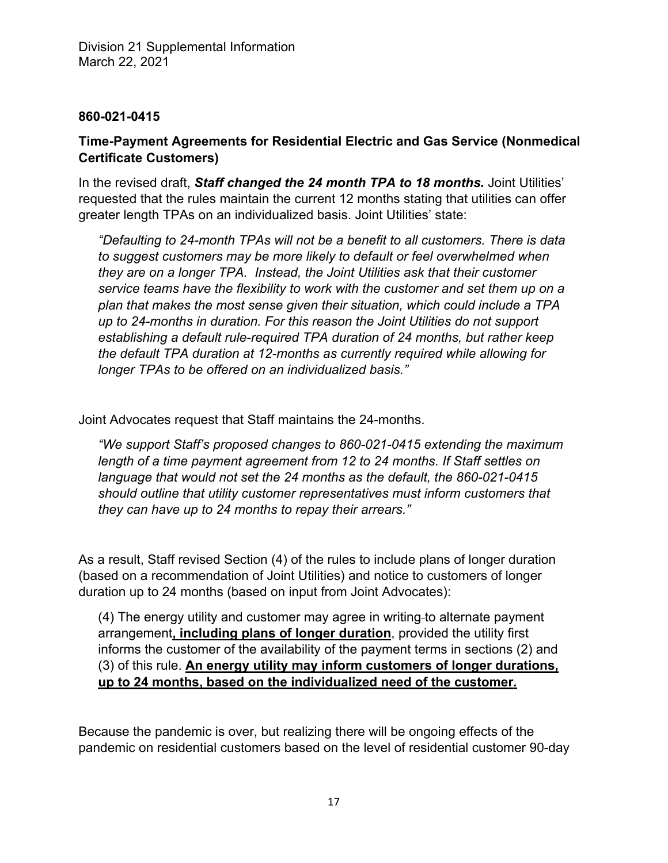### **860-021-0415**

# **Time-Payment Agreements for Residential Electric and Gas Service (Nonmedical Certificate Customers)**

In the revised draft, *Staff changed the 24 month TPA to 18 months.* Joint Utilities' requested that the rules maintain the current 12 months stating that utilities can offer greater length TPAs on an individualized basis. Joint Utilities' state:

*"Defaulting to 24-month TPAs will not be a benefit to all customers. There is data to suggest customers may be more likely to default or feel overwhelmed when they are on a longer TPA. Instead, the Joint Utilities ask that their customer service teams have the flexibility to work with the customer and set them up on a plan that makes the most sense given their situation, which could include a TPA up to 24-months in duration. For this reason the Joint Utilities do not support establishing a default rule-required TPA duration of 24 months, but rather keep the default TPA duration at 12-months as currently required while allowing for longer TPAs to be offered on an individualized basis."* 

Joint Advocates request that Staff maintains the 24-months.

*"We support Staff's proposed changes to 860-021-0415 extending the maximum length of a time payment agreement from 12 to 24 months. If Staff settles on language that would not set the 24 months as the default, the 860-021-0415 should outline that utility customer representatives must inform customers that they can have up to 24 months to repay their arrears."* 

As a result, Staff revised Section (4) of the rules to include plans of longer duration (based on a recommendation of Joint Utilities) and notice to customers of longer duration up to 24 months (based on input from Joint Advocates):

(4) The energy utility and customer may agree in writing to alternate payment arrangement**, including plans of longer duration**, provided the utility first informs the customer of the availability of the payment terms in sections (2) and (3) of this rule. **An energy utility may inform customers of longer durations, up to 24 months, based on the individualized need of the customer.** 

Because the pandemic is over, but realizing there will be ongoing effects of the pandemic on residential customers based on the level of residential customer 90-day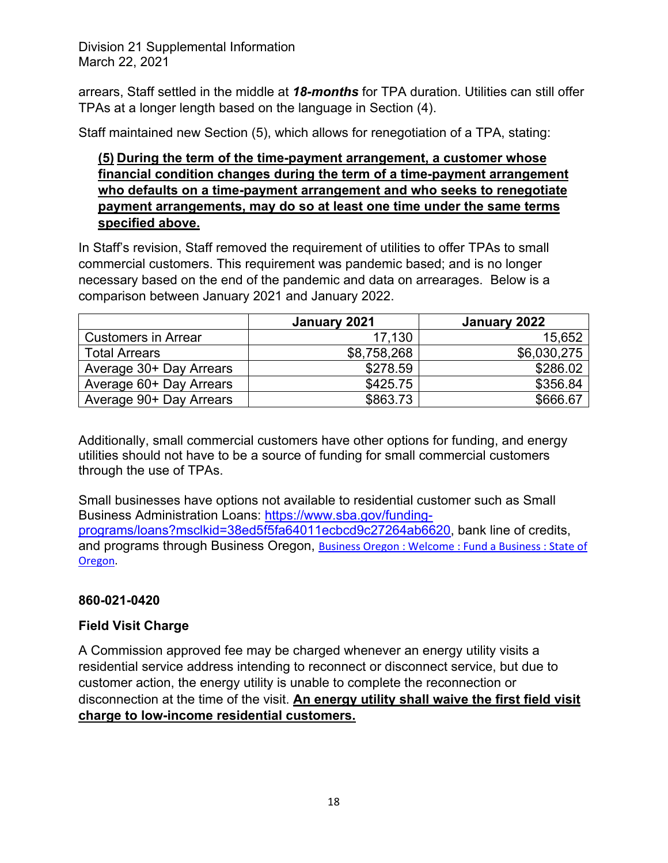arrears, Staff settled in the middle at *18-months* for TPA duration. Utilities can still offer TPAs at a longer length based on the language in Section (4).

Staff maintained new Section (5), which allows for renegotiation of a TPA, stating:

## **(5) During the term of the time-payment arrangement, a customer whose financial condition changes during the term of a time-payment arrangement who defaults on a time-payment arrangement and who seeks to renegotiate payment arrangements, may do so at least one time under the same terms specified above.**

In Staff's revision, Staff removed the requirement of utilities to offer TPAs to small commercial customers. This requirement was pandemic based; and is no longer necessary based on the end of the pandemic and data on arrearages. Below is a comparison between January 2021 and January 2022.

|                            | January 2021 | January 2022 |
|----------------------------|--------------|--------------|
| <b>Customers in Arrear</b> | 17,130       | 15,652       |
| <b>Total Arrears</b>       | \$8,758,268  | \$6,030,275  |
| Average 30+ Day Arrears    | \$278.59     | \$286.02     |
| Average 60+ Day Arrears    | \$425.75     | \$356.84     |
| Average 90+ Day Arrears    | \$863.73     | \$666.67     |

Additionally, small commercial customers have other options for funding, and energy utilities should not have to be a source of funding for small commercial customers through the use of TPAs.

Small businesses have options not available to residential customer such as Small Business Administration Loans: https://www.sba.gov/fundingprograms/loans?msclkid=38ed5f5fa64011ecbcd9c27264ab6620, bank line of credits, and programs through Business Oregon, Business Oregon : Welcome : Fund a Business : State of Oregon.

# **860-021-0420**

# **Field Visit Charge**

A Commission approved fee may be charged whenever an energy utility visits a residential service address intending to reconnect or disconnect service, but due to customer action, the energy utility is unable to complete the reconnection or disconnection at the time of the visit. **An energy utility shall waive the first field visit charge to low-income residential customers.**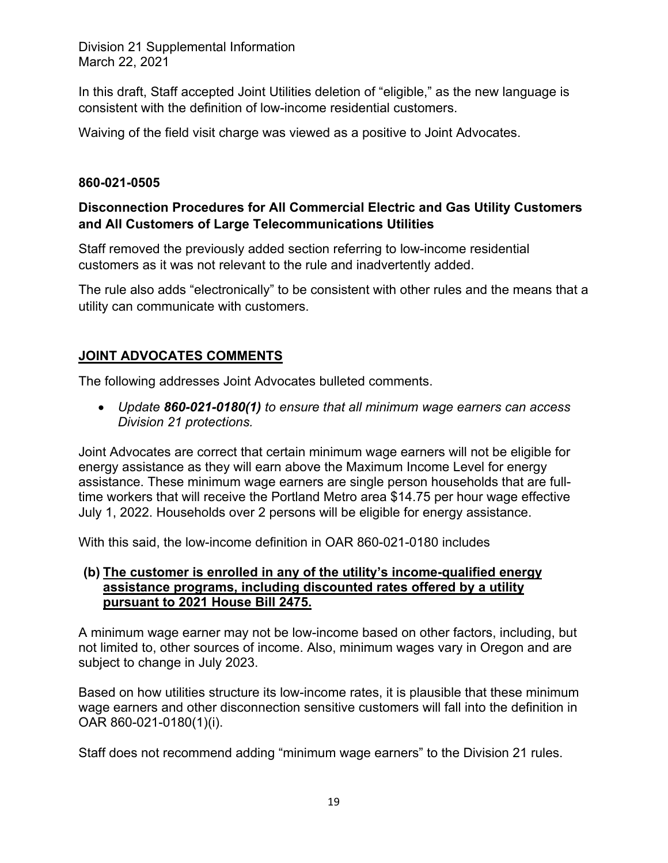In this draft, Staff accepted Joint Utilities deletion of "eligible," as the new language is consistent with the definition of low-income residential customers.

Waiving of the field visit charge was viewed as a positive to Joint Advocates.

## **860-021-0505**

# **Disconnection Procedures for All Commercial Electric and Gas Utility Customers and All Customers of Large Telecommunications Utilities**

Staff removed the previously added section referring to low-income residential customers as it was not relevant to the rule and inadvertently added.

The rule also adds "electronically" to be consistent with other rules and the means that a utility can communicate with customers.

# **JOINT ADVOCATES COMMENTS**

The following addresses Joint Advocates bulleted comments.

 *Update 860-021-0180(1) to ensure that all minimum wage earners can access Division 21 protections.* 

Joint Advocates are correct that certain minimum wage earners will not be eligible for energy assistance as they will earn above the Maximum Income Level for energy assistance. These minimum wage earners are single person households that are fulltime workers that will receive the Portland Metro area \$14.75 per hour wage effective July 1, 2022. Households over 2 persons will be eligible for energy assistance.

With this said, the low-income definition in OAR 860-021-0180 includes

## **(b) The customer is enrolled in any of the utility's income-qualified energy assistance programs, including discounted rates offered by a utility pursuant to 2021 House Bill 2475.**

A minimum wage earner may not be low-income based on other factors, including, but not limited to, other sources of income. Also, minimum wages vary in Oregon and are subject to change in July 2023.

Based on how utilities structure its low-income rates, it is plausible that these minimum wage earners and other disconnection sensitive customers will fall into the definition in OAR 860-021-0180(1)(i).

Staff does not recommend adding "minimum wage earners" to the Division 21 rules.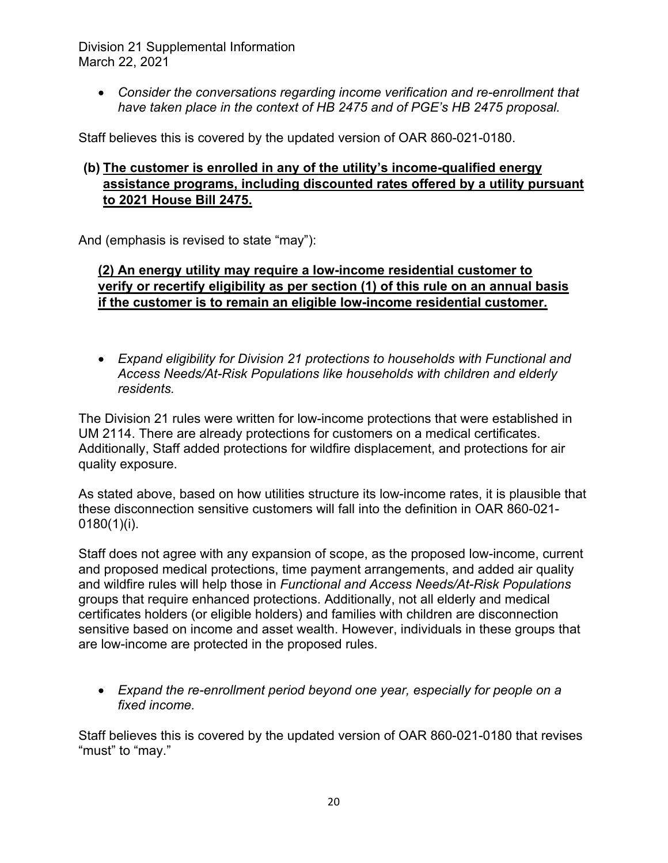*Consider the conversations regarding income verification and re-enrollment that have taken place in the context of HB 2475 and of PGE's HB 2475 proposal.* 

Staff believes this is covered by the updated version of OAR 860-021-0180.

# **(b) The customer is enrolled in any of the utility's income-qualified energy assistance programs, including discounted rates offered by a utility pursuant to 2021 House Bill 2475.**

And (emphasis is revised to state "may"):

# **(2) An energy utility may require a low-income residential customer to verify or recertify eligibility as per section (1) of this rule on an annual basis if the customer is to remain an eligible low-income residential customer.**

 *Expand eligibility for Division 21 protections to households with Functional and Access Needs/At-Risk Populations like households with children and elderly residents.* 

The Division 21 rules were written for low-income protections that were established in UM 2114. There are already protections for customers on a medical certificates. Additionally, Staff added protections for wildfire displacement, and protections for air quality exposure.

As stated above, based on how utilities structure its low-income rates, it is plausible that these disconnection sensitive customers will fall into the definition in OAR 860-021-  $0180(1)(i)$ .

Staff does not agree with any expansion of scope, as the proposed low-income, current and proposed medical protections, time payment arrangements, and added air quality and wildfire rules will help those in *Functional and Access Needs/At-Risk Populations* groups that require enhanced protections. Additionally, not all elderly and medical certificates holders (or eligible holders) and families with children are disconnection sensitive based on income and asset wealth. However, individuals in these groups that are low-income are protected in the proposed rules.

 *Expand the re-enrollment period beyond one year, especially for people on a fixed income.* 

Staff believes this is covered by the updated version of OAR 860-021-0180 that revises "must" to "may."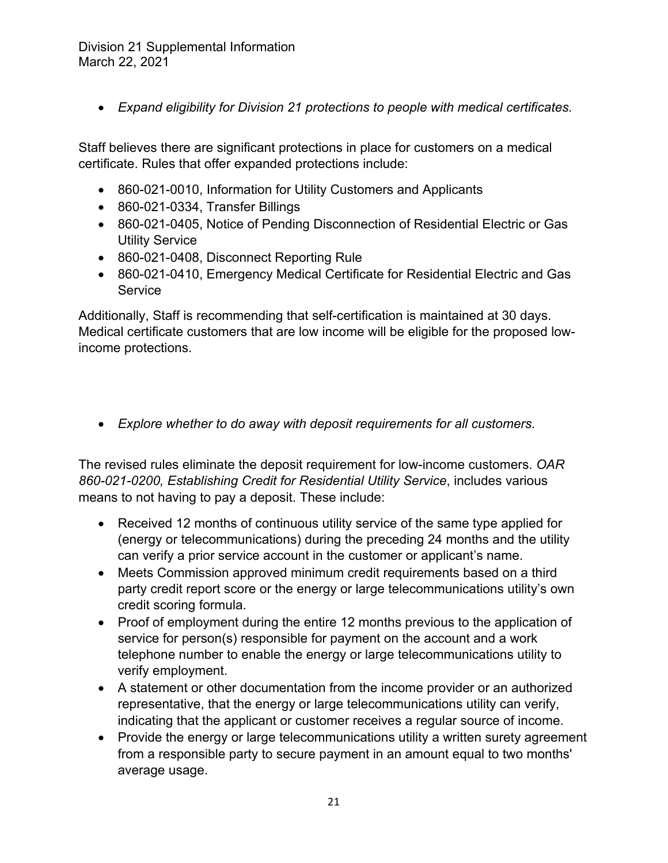*Expand eligibility for Division 21 protections to people with medical certificates.* 

Staff believes there are significant protections in place for customers on a medical certificate. Rules that offer expanded protections include:

- 860-021-0010, Information for Utility Customers and Applicants
- 860-021-0334, Transfer Billings
- 860-021-0405, Notice of Pending Disconnection of Residential Electric or Gas Utility Service
- 860-021-0408, Disconnect Reporting Rule
- 860-021-0410, Emergency Medical Certificate for Residential Electric and Gas **Service**

Additionally, Staff is recommending that self-certification is maintained at 30 days. Medical certificate customers that are low income will be eligible for the proposed lowincome protections.

*Explore whether to do away with deposit requirements for all customers.* 

The revised rules eliminate the deposit requirement for low-income customers. *OAR 860-021-0200, Establishing Credit for Residential Utility Service*, includes various means to not having to pay a deposit. These include:

- Received 12 months of continuous utility service of the same type applied for (energy or telecommunications) during the preceding 24 months and the utility can verify a prior service account in the customer or applicant's name.
- Meets Commission approved minimum credit requirements based on a third party credit report score or the energy or large telecommunications utility's own credit scoring formula.
- Proof of employment during the entire 12 months previous to the application of service for person(s) responsible for payment on the account and a work telephone number to enable the energy or large telecommunications utility to verify employment.
- A statement or other documentation from the income provider or an authorized representative, that the energy or large telecommunications utility can verify, indicating that the applicant or customer receives a regular source of income.
- Provide the energy or large telecommunications utility a written surety agreement from a responsible party to secure payment in an amount equal to two months' average usage.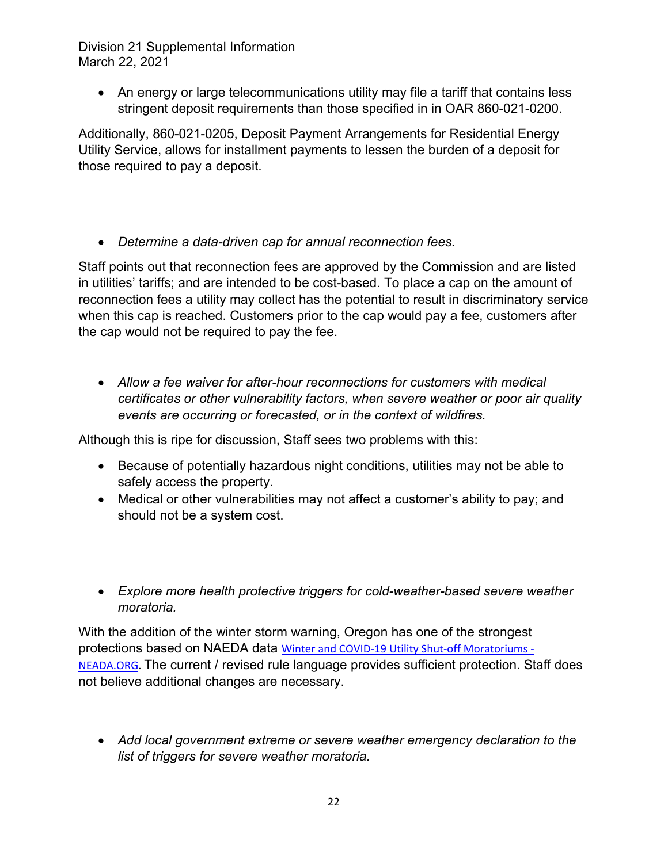• An energy or large telecommunications utility may file a tariff that contains less stringent deposit requirements than those specified in in OAR 860-021-0200.

Additionally, 860-021-0205, Deposit Payment Arrangements for Residential Energy Utility Service, allows for installment payments to lessen the burden of a deposit for those required to pay a deposit.

*Determine a data-driven cap for annual reconnection fees.* 

Staff points out that reconnection fees are approved by the Commission and are listed in utilities' tariffs; and are intended to be cost-based. To place a cap on the amount of reconnection fees a utility may collect has the potential to result in discriminatory service when this cap is reached. Customers prior to the cap would pay a fee, customers after the cap would not be required to pay the fee.

 *Allow a fee waiver for after-hour reconnections for customers with medical certificates or other vulnerability factors, when severe weather or poor air quality events are occurring or forecasted, or in the context of wildfires.* 

Although this is ripe for discussion, Staff sees two problems with this:

- Because of potentially hazardous night conditions, utilities may not be able to safely access the property.
- Medical or other vulnerabilities may not affect a customer's ability to pay; and should not be a system cost.
- *Explore more health protective triggers for cold-weather-based severe weather moratoria.*

With the addition of the winter storm warning, Oregon has one of the strongest protections based on NAEDA data Winter and COVID‐19 Utility Shut‐off Moratoriums ‐ NEADA.ORG. The current / revised rule language provides sufficient protection. Staff does not believe additional changes are necessary.

 *Add local government extreme or severe weather emergency declaration to the list of triggers for severe weather moratoria.*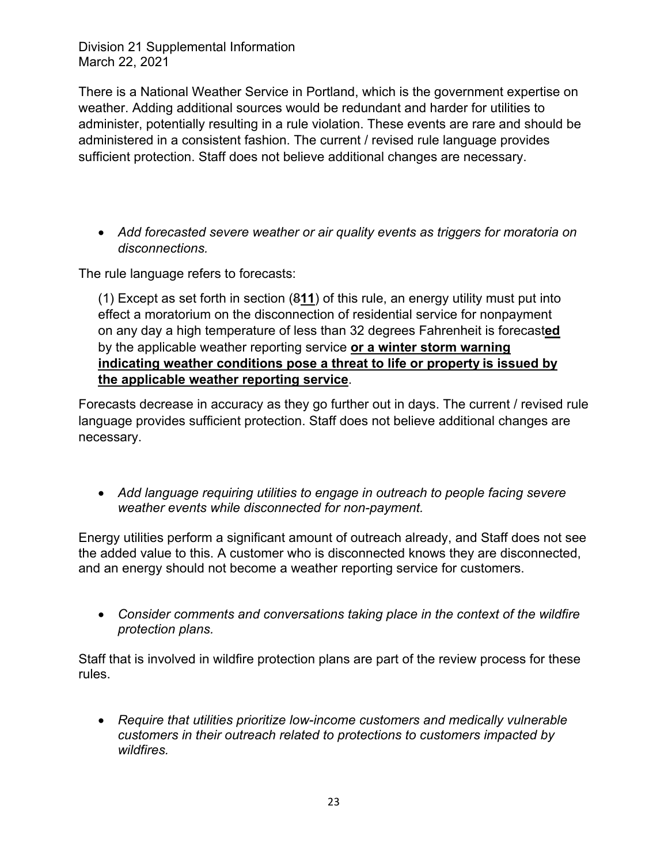There is a National Weather Service in Portland, which is the government expertise on weather. Adding additional sources would be redundant and harder for utilities to administer, potentially resulting in a rule violation. These events are rare and should be administered in a consistent fashion. The current / revised rule language provides sufficient protection. Staff does not believe additional changes are necessary.

 *Add forecasted severe weather or air quality events as triggers for moratoria on disconnections.* 

The rule language refers to forecasts:

(1) Except as set forth in section (8**11**) of this rule, an energy utility must put into effect a moratorium on the disconnection of residential service for nonpayment on any day a high temperature of less than 32 degrees Fahrenheit is forecast**ed** by the applicable weather reporting service **or a winter storm warning indicating weather conditions pose a threat to life or property is issued by the applicable weather reporting service**.

Forecasts decrease in accuracy as they go further out in days. The current / revised rule language provides sufficient protection. Staff does not believe additional changes are necessary.

 *Add language requiring utilities to engage in outreach to people facing severe weather events while disconnected for non-payment.* 

Energy utilities perform a significant amount of outreach already, and Staff does not see the added value to this. A customer who is disconnected knows they are disconnected, and an energy should not become a weather reporting service for customers.

 *Consider comments and conversations taking place in the context of the wildfire protection plans.* 

Staff that is involved in wildfire protection plans are part of the review process for these rules.

 *Require that utilities prioritize low-income customers and medically vulnerable customers in their outreach related to protections to customers impacted by wildfires.*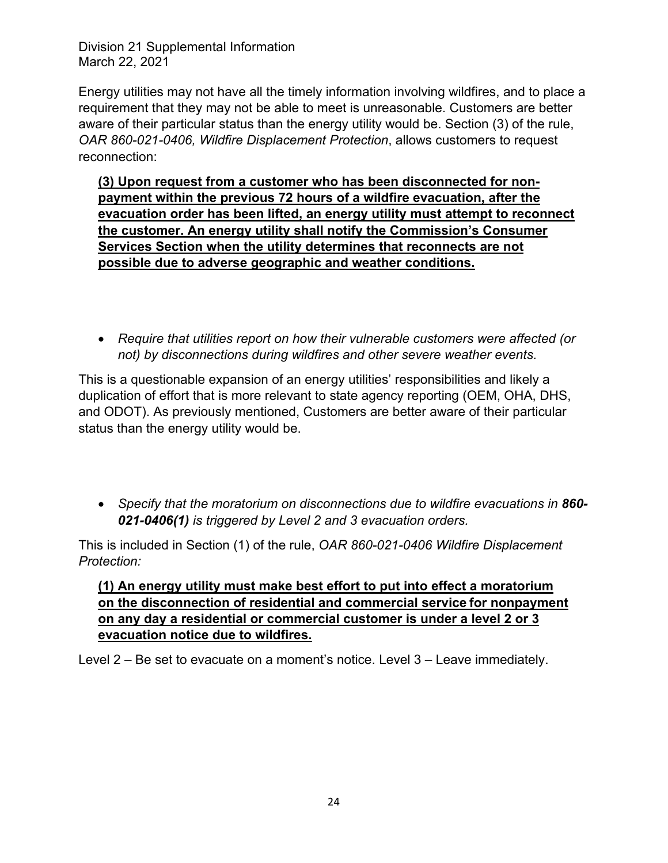Energy utilities may not have all the timely information involving wildfires, and to place a requirement that they may not be able to meet is unreasonable. Customers are better aware of their particular status than the energy utility would be. Section (3) of the rule, *OAR 860-021-0406, Wildfire Displacement Protection*, allows customers to request reconnection:

**(3) Upon request from a customer who has been disconnected for nonpayment within the previous 72 hours of a wildfire evacuation, after the evacuation order has been lifted, an energy utility must attempt to reconnect the customer. An energy utility shall notify the Commission's Consumer Services Section when the utility determines that reconnects are not possible due to adverse geographic and weather conditions.** 

 *Require that utilities report on how their vulnerable customers were affected (or not) by disconnections during wildfires and other severe weather events.* 

This is a questionable expansion of an energy utilities' responsibilities and likely a duplication of effort that is more relevant to state agency reporting (OEM, OHA, DHS, and ODOT). As previously mentioned, Customers are better aware of their particular status than the energy utility would be.

 *Specify that the moratorium on disconnections due to wildfire evacuations in 860- 021-0406(1) is triggered by Level 2 and 3 evacuation orders.* 

This is included in Section (1) of the rule, *OAR 860-021-0406 Wildfire Displacement Protection:*

# **(1) An energy utility must make best effort to put into effect a moratorium on the disconnection of residential and commercial service for nonpayment on any day a residential or commercial customer is under a level 2 or 3 evacuation notice due to wildfires.**

Level 2 – Be set to evacuate on a moment's notice. Level 3 – Leave immediately.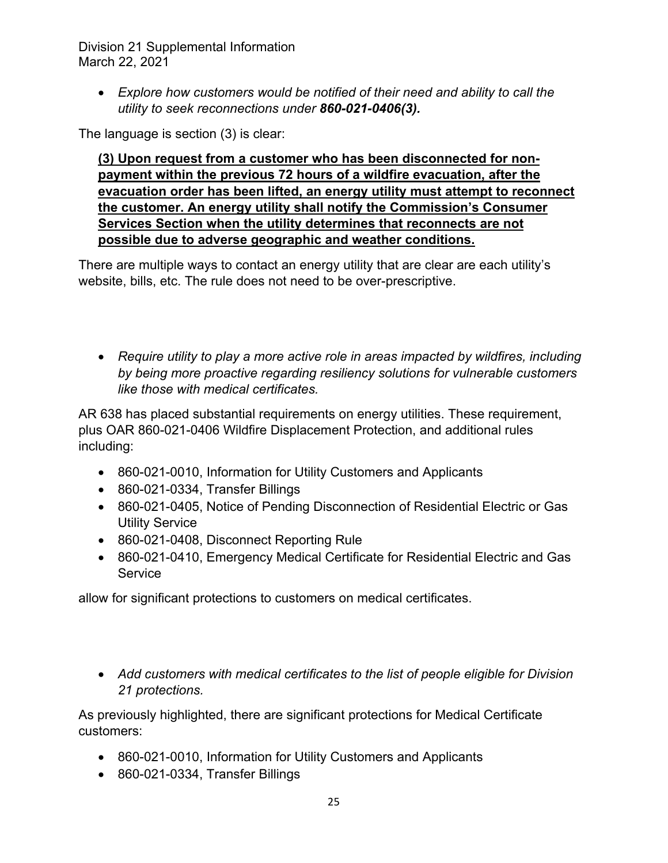*Explore how customers would be notified of their need and ability to call the utility to seek reconnections under 860-021-0406(3).*

The language is section (3) is clear:

**(3) Upon request from a customer who has been disconnected for nonpayment within the previous 72 hours of a wildfire evacuation, after the evacuation order has been lifted, an energy utility must attempt to reconnect the customer. An energy utility shall notify the Commission's Consumer Services Section when the utility determines that reconnects are not possible due to adverse geographic and weather conditions.** 

There are multiple ways to contact an energy utility that are clear are each utility's website, bills, etc. The rule does not need to be over-prescriptive.

 *Require utility to play a more active role in areas impacted by wildfires, including by being more proactive regarding resiliency solutions for vulnerable customers like those with medical certificates.* 

AR 638 has placed substantial requirements on energy utilities. These requirement, plus OAR 860-021-0406 Wildfire Displacement Protection, and additional rules including:

- 860-021-0010, Information for Utility Customers and Applicants
- 860-021-0334, Transfer Billings
- 860-021-0405, Notice of Pending Disconnection of Residential Electric or Gas Utility Service
- 860-021-0408, Disconnect Reporting Rule
- 860-021-0410, Emergency Medical Certificate for Residential Electric and Gas **Service**

allow for significant protections to customers on medical certificates.

 *Add customers with medical certificates to the list of people eligible for Division 21 protections.* 

As previously highlighted, there are significant protections for Medical Certificate customers:

- 860-021-0010, Information for Utility Customers and Applicants
- 860-021-0334, Transfer Billings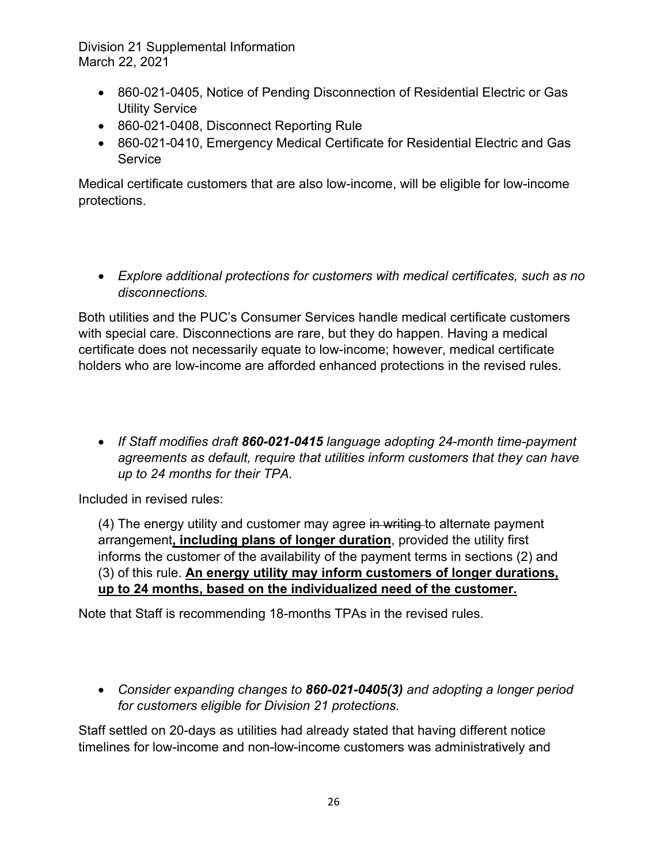- 860-021-0405, Notice of Pending Disconnection of Residential Electric or Gas Utility Service
- 860-021-0408, Disconnect Reporting Rule
- 860-021-0410, Emergency Medical Certificate for Residential Electric and Gas **Service**

Medical certificate customers that are also low-income, will be eligible for low-income protections.

 *Explore additional protections for customers with medical certificates, such as no disconnections.* 

Both utilities and the PUC's Consumer Services handle medical certificate customers with special care. Disconnections are rare, but they do happen. Having a medical certificate does not necessarily equate to low-income; however, medical certificate holders who are low-income are afforded enhanced protections in the revised rules.

 *If Staff modifies draft 860-021-0415 language adopting 24-month time-payment agreements as default, require that utilities inform customers that they can have up to 24 months for their TPA.* 

Included in revised rules:

(4) The energy utility and customer may agree in writing to alternate payment arrangement**, including plans of longer duration**, provided the utility first informs the customer of the availability of the payment terms in sections (2) and (3) of this rule. **An energy utility may inform customers of longer durations, up to 24 months, based on the individualized need of the customer.** 

Note that Staff is recommending 18-months TPAs in the revised rules.

 *Consider expanding changes to 860-021-0405(3) and adopting a longer period for customers eligible for Division 21 protections.* 

Staff settled on 20-days as utilities had already stated that having different notice timelines for low-income and non-low-income customers was administratively and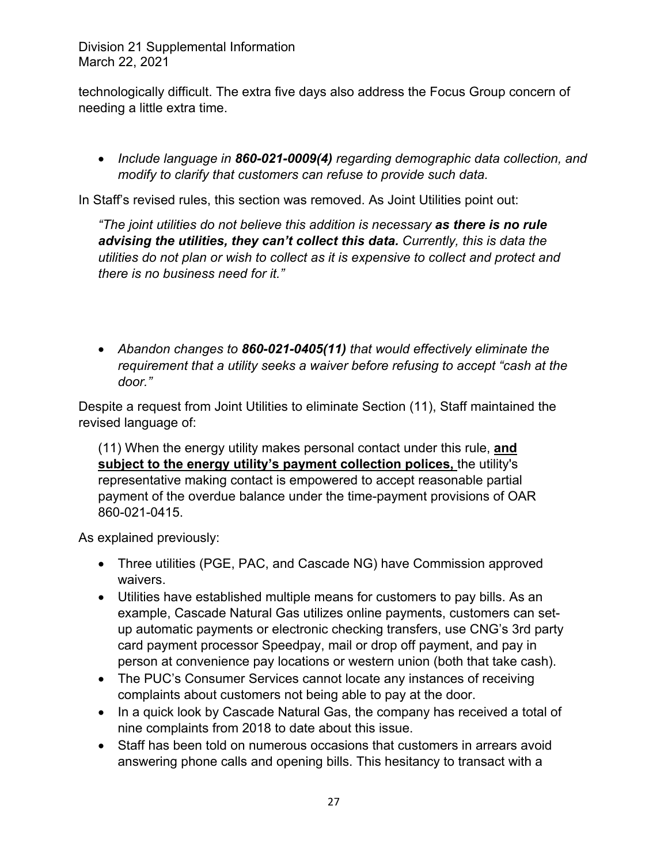technologically difficult. The extra five days also address the Focus Group concern of needing a little extra time.

 *Include language in 860-021-0009(4) regarding demographic data collection, and modify to clarify that customers can refuse to provide such data.* 

In Staff's revised rules, this section was removed. As Joint Utilities point out:

*"The joint utilities do not believe this addition is necessary as there is no rule advising the utilities, they can't collect this data. Currently, this is data the utilities do not plan or wish to collect as it is expensive to collect and protect and there is no business need for it."* 

 *Abandon changes to 860-021-0405(11) that would effectively eliminate the requirement that a utility seeks a waiver before refusing to accept "cash at the door."* 

Despite a request from Joint Utilities to eliminate Section (11), Staff maintained the revised language of:

(11) When the energy utility makes personal contact under this rule, **and subject to the energy utility's payment collection polices,** the utility's representative making contact is empowered to accept reasonable partial payment of the overdue balance under the time-payment provisions of OAR 860-021-0415.

As explained previously:

- Three utilities (PGE, PAC, and Cascade NG) have Commission approved waivers.
- Utilities have established multiple means for customers to pay bills. As an example, Cascade Natural Gas utilizes online payments, customers can setup automatic payments or electronic checking transfers, use CNG's 3rd party card payment processor Speedpay, mail or drop off payment, and pay in person at convenience pay locations or western union (both that take cash).
- The PUC's Consumer Services cannot locate any instances of receiving complaints about customers not being able to pay at the door.
- In a quick look by Cascade Natural Gas, the company has received a total of nine complaints from 2018 to date about this issue.
- Staff has been told on numerous occasions that customers in arrears avoid answering phone calls and opening bills. This hesitancy to transact with a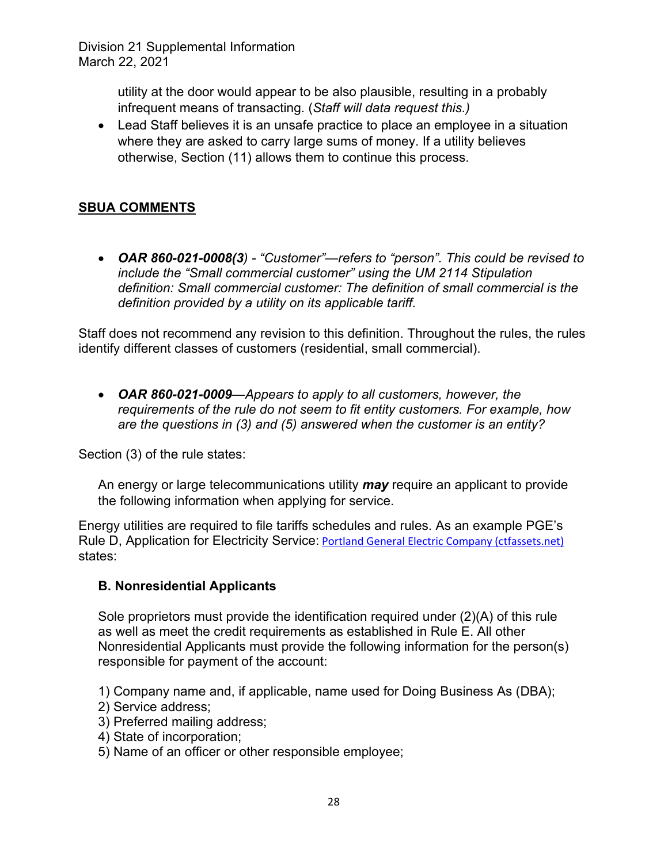> utility at the door would appear to be also plausible, resulting in a probably infrequent means of transacting. (*Staff will data request this.)*

 Lead Staff believes it is an unsafe practice to place an employee in a situation where they are asked to carry large sums of money. If a utility believes otherwise, Section (11) allows them to continue this process.

# **SBUA COMMENTS**

 *OAR 860-021-0008(3) - "Customer"—refers to "person". This could be revised to include the "Small commercial customer" using the UM 2114 Stipulation definition: Small commercial customer: The definition of small commercial is the definition provided by a utility on its applicable tariff.* 

Staff does not recommend any revision to this definition. Throughout the rules, the rules identify different classes of customers (residential, small commercial).

 *OAR 860-021-0009—Appears to apply to all customers, however, the requirements of the rule do not seem to fit entity customers. For example, how are the questions in (3) and (5) answered when the customer is an entity?* 

Section (3) of the rule states:

An energy or large telecommunications utility *may* require an applicant to provide the following information when applying for service.

Energy utilities are required to file tariffs schedules and rules. As an example PGE's Rule D, Application for Electricity Service: Portland General Electric Company (ctfassets.net) states:

# **B. Nonresidential Applicants**

Sole proprietors must provide the identification required under (2)(A) of this rule as well as meet the credit requirements as established in Rule E. All other Nonresidential Applicants must provide the following information for the person(s) responsible for payment of the account:

1) Company name and, if applicable, name used for Doing Business As (DBA);

- 2) Service address;
- 3) Preferred mailing address;
- 4) State of incorporation;
- 5) Name of an officer or other responsible employee;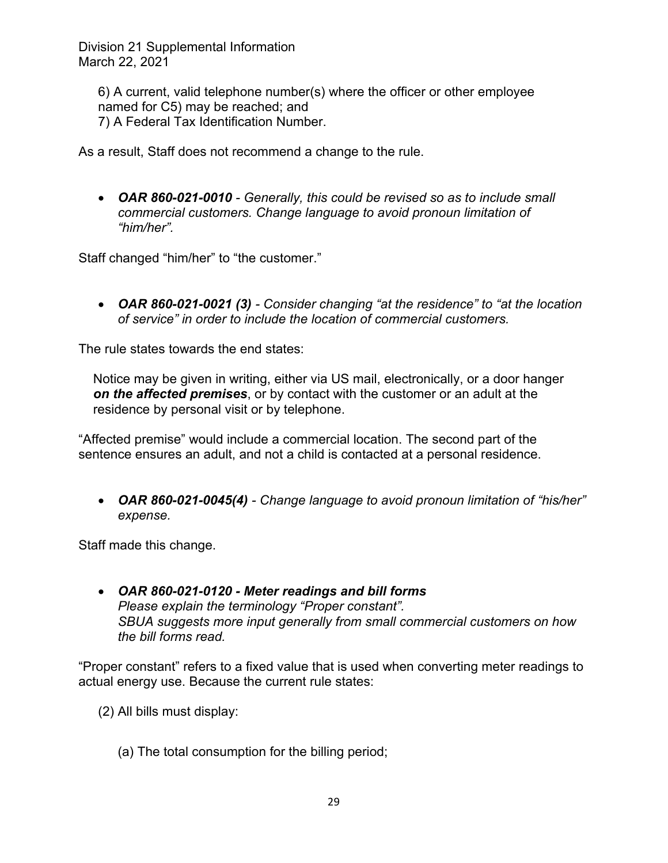6) A current, valid telephone number(s) where the officer or other employee named for C5) may be reached; and 7) A Federal Tax Identification Number.

As a result, Staff does not recommend a change to the rule.

 *OAR 860-021-0010 - Generally, this could be revised so as to include small commercial customers. Change language to avoid pronoun limitation of "him/her".* 

Staff changed "him/her" to "the customer."

 *OAR 860-021-0021 (3) - Consider changing "at the residence" to "at the location of service" in order to include the location of commercial customers.* 

The rule states towards the end states:

Notice may be given in writing, either via US mail, electronically, or a door hanger *on the affected premises*, or by contact with the customer or an adult at the residence by personal visit or by telephone.

"Affected premise" would include a commercial location. The second part of the sentence ensures an adult, and not a child is contacted at a personal residence.

 *OAR 860-021-0045(4) - Change language to avoid pronoun limitation of "his/her" expense.* 

Staff made this change.

 *OAR 860-021-0120 - Meter readings and bill forms Please explain the terminology "Proper constant". SBUA suggests more input generally from small commercial customers on how the bill forms read.* 

"Proper constant" refers to a fixed value that is used when converting meter readings to actual energy use. Because the current rule states:

- (2) All bills must display:
	- (a) The total consumption for the billing period;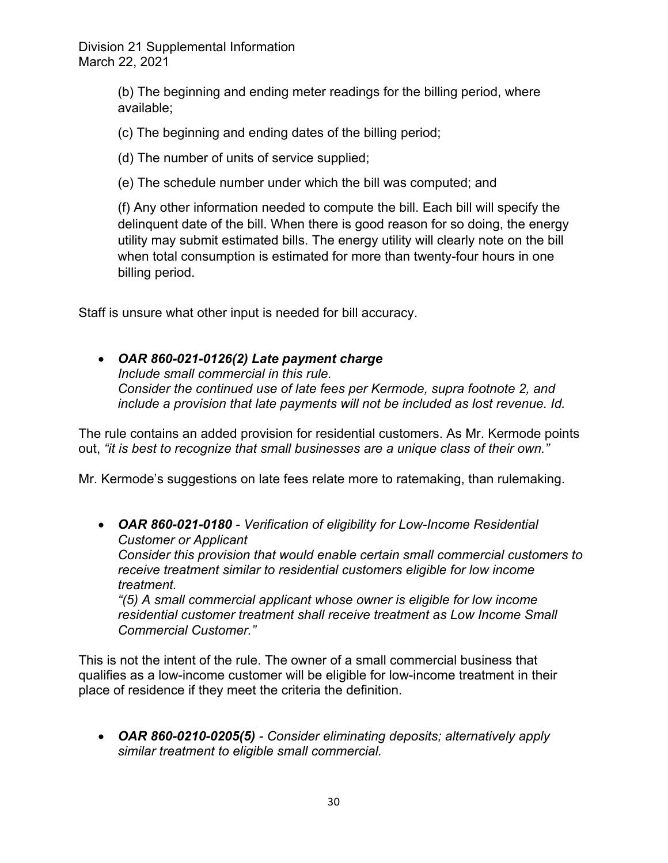> (b) The beginning and ending meter readings for the billing period, where available;

(c) The beginning and ending dates of the billing period;

(d) The number of units of service supplied;

(e) The schedule number under which the bill was computed; and

(f) Any other information needed to compute the bill. Each bill will specify the delinquent date of the bill. When there is good reason for so doing, the energy utility may submit estimated bills. The energy utility will clearly note on the bill when total consumption is estimated for more than twenty-four hours in one billing period.

Staff is unsure what other input is needed for bill accuracy.

 *OAR 860-021-0126(2) Late payment charge Include small commercial in this rule. Consider the continued use of late fees per Kermode, supra footnote 2, and include a provision that late payments will not be included as lost revenue. Id.* 

The rule contains an added provision for residential customers. As Mr. Kermode points out, *"it is best to recognize that small businesses are a unique class of their own."*

Mr. Kermode's suggestions on late fees relate more to ratemaking, than rulemaking.

 *OAR 860-021-0180 - Verification of eligibility for Low-Income Residential Customer or Applicant* 

*Consider this provision that would enable certain small commercial customers to receive treatment similar to residential customers eligible for low income treatment.* 

*"(5) A small commercial applicant whose owner is eligible for low income residential customer treatment shall receive treatment as Low Income Small Commercial Customer."* 

This is not the intent of the rule. The owner of a small commercial business that qualifies as a low-income customer will be eligible for low-income treatment in their place of residence if they meet the criteria the definition.

 *OAR 860-0210-0205(5) - Consider eliminating deposits; alternatively apply similar treatment to eligible small commercial.*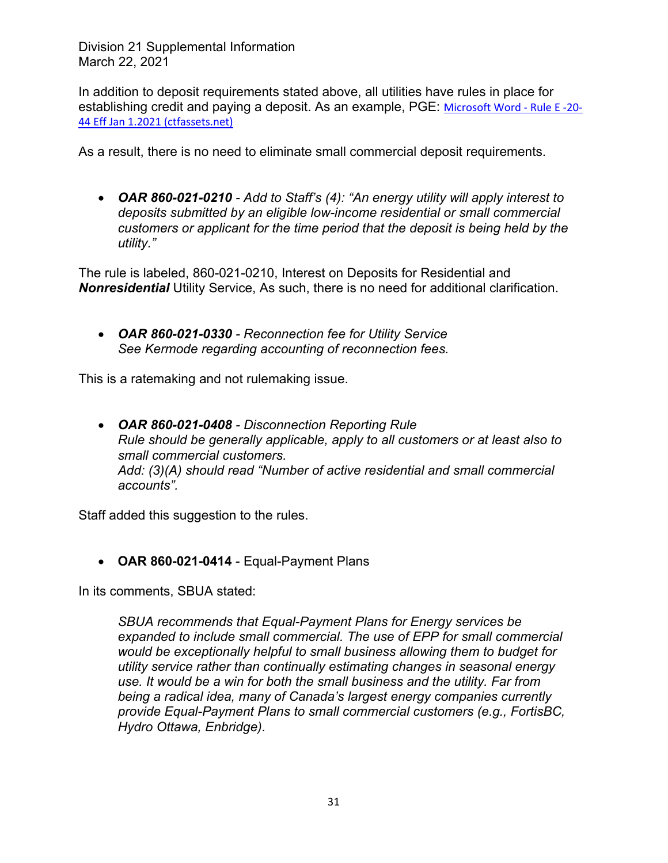In addition to deposit requirements stated above, all utilities have rules in place for establishing credit and paying a deposit. As an example, PGE: Microsoft Word ‐ Rule E ‐20‐ 44 Eff Jan 1.2021 (ctfassets.net)

As a result, there is no need to eliminate small commercial deposit requirements.

 *OAR 860-021-0210 - Add to Staff's (4): "An energy utility will apply interest to deposits submitted by an eligible low-income residential or small commercial customers or applicant for the time period that the deposit is being held by the utility."* 

The rule is labeled, 860-021-0210, Interest on Deposits for Residential and *Nonresidential* Utility Service, As such, there is no need for additional clarification.

 *OAR 860-021-0330 - Reconnection fee for Utility Service See Kermode regarding accounting of reconnection fees.* 

This is a ratemaking and not rulemaking issue.

 *OAR 860-021-0408 - Disconnection Reporting Rule Rule should be generally applicable, apply to all customers or at least also to small commercial customers. Add: (3)(A) should read "Number of active residential and small commercial accounts".*

Staff added this suggestion to the rules.

**OAR 860-021-0414** - Equal-Payment Plans

In its comments, SBUA stated:

*SBUA recommends that Equal-Payment Plans for Energy services be expanded to include small commercial. The use of EPP for small commercial would be exceptionally helpful to small business allowing them to budget for utility service rather than continually estimating changes in seasonal energy use. It would be a win for both the small business and the utility. Far from being a radical idea, many of Canada's largest energy companies currently provide Equal-Payment Plans to small commercial customers (e.g., FortisBC, Hydro Ottawa, Enbridge).*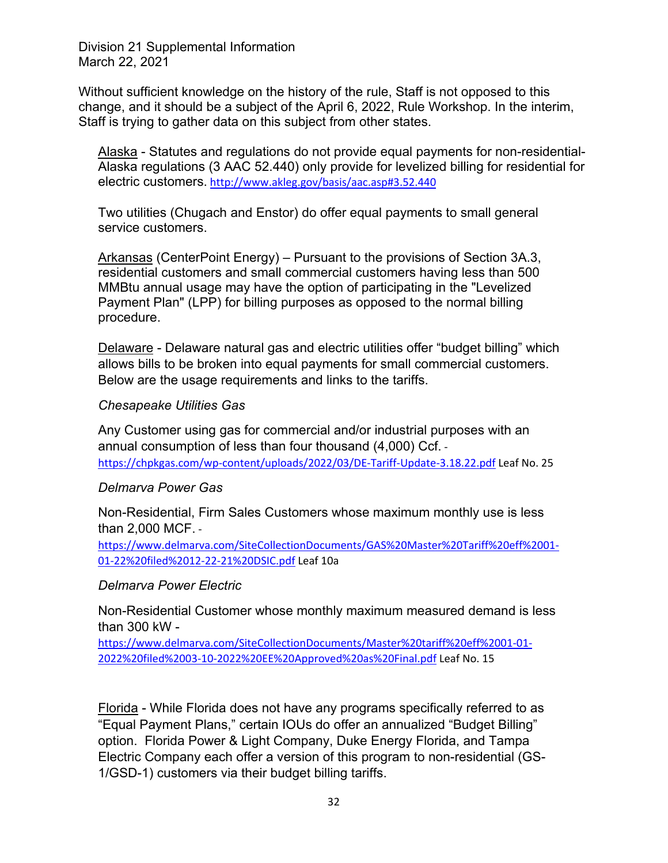Without sufficient knowledge on the history of the rule, Staff is not opposed to this change, and it should be a subject of the April 6, 2022, Rule Workshop. In the interim, Staff is trying to gather data on this subject from other states.

Alaska - Statutes and regulations do not provide equal payments for non-residential-Alaska regulations (3 AAC 52.440) only provide for levelized billing for residential for electric customers. http://www.akleg.gov/basis/aac.asp#3.52.440

Two utilities (Chugach and Enstor) do offer equal payments to small general service customers.

Arkansas (CenterPoint Energy) – Pursuant to the provisions of Section 3A.3, residential customers and small commercial customers having less than 500 MMBtu annual usage may have the option of participating in the "Levelized Payment Plan" (LPP) for billing purposes as opposed to the normal billing procedure.

Delaware - Delaware natural gas and electric utilities offer "budget billing" which allows bills to be broken into equal payments for small commercial customers. Below are the usage requirements and links to the tariffs.

#### *Chesapeake Utilities Gas*

Any Customer using gas for commercial and/or industrial purposes with an annual consumption of less than four thousand (4,000) Ccf. ‐ https://chpkgas.com/wp-content/uploads/2022/03/DE-Tariff-Update-3.18.22.pdf Leaf No. 25

#### *Delmarva Power Gas*

Non-Residential, Firm Sales Customers whose maximum monthly use is less than 2,000 MCF. ‐

https://www.delmarva.com/SiteCollectionDocuments/GAS%20Master%20Tariff%20eff%2001‐ 01‐22%20filed%2012‐22‐21%20DSIC.pdf Leaf 10a

#### *Delmarva Power Electric*

Non-Residential Customer whose monthly maximum measured demand is less than 300 kW -

https://www.delmarva.com/SiteCollectionDocuments/Master%20tariff%20eff%2001‐01‐ 2022%20filed%2003‐10‐2022%20EE%20Approved%20as%20Final.pdf Leaf No. 15

Florida - While Florida does not have any programs specifically referred to as "Equal Payment Plans," certain IOUs do offer an annualized "Budget Billing" option. Florida Power & Light Company, Duke Energy Florida, and Tampa Electric Company each offer a version of this program to non-residential (GS-1/GSD-1) customers via their budget billing tariffs.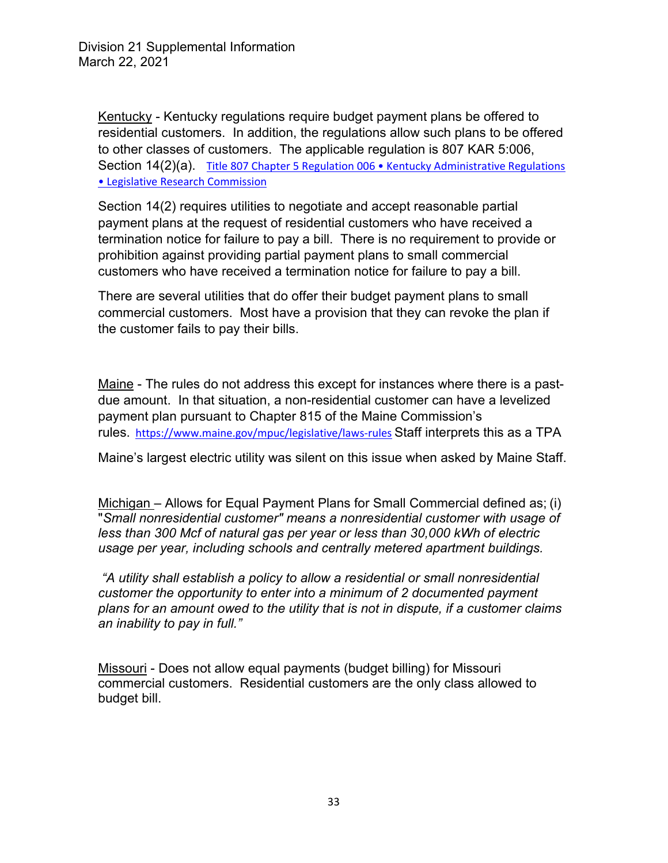Kentucky - Kentucky regulations require budget payment plans be offered to residential customers. In addition, the regulations allow such plans to be offered to other classes of customers. The applicable regulation is 807 KAR 5:006, Section 14(2)(a) Title 807 Chapter 5 Regulation 006 • Kentucky Administrative Regulations • Legislative Research Commission

Section 14(2) requires utilities to negotiate and accept reasonable partial payment plans at the request of residential customers who have received a termination notice for failure to pay a bill. There is no requirement to provide or prohibition against providing partial payment plans to small commercial customers who have received a termination notice for failure to pay a bill.

There are several utilities that do offer their budget payment plans to small commercial customers. Most have a provision that they can revoke the plan if the customer fails to pay their bills.

Maine - The rules do not address this except for instances where there is a pastdue amount. In that situation, a non-residential customer can have a levelized payment plan pursuant to Chapter 815 of the Maine Commission's rules. https://www.maine.gov/mpuc/legislative/laws-rules Staff interprets this as a TPA

Maine's largest electric utility was silent on this issue when asked by Maine Staff.

Michigan – Allows for Equal Payment Plans for Small Commercial defined as; (i) "*Small nonresidential customer" means a nonresidential customer with usage of less than 300 Mcf of natural gas per year or less than 30,000 kWh of electric usage per year, including schools and centrally metered apartment buildings.* 

 *"A utility shall establish a policy to allow a residential or small nonresidential customer the opportunity to enter into a minimum of 2 documented payment plans for an amount owed to the utility that is not in dispute, if a customer claims an inability to pay in full."* 

Missouri - Does not allow equal payments (budget billing) for Missouri commercial customers. Residential customers are the only class allowed to budget bill.